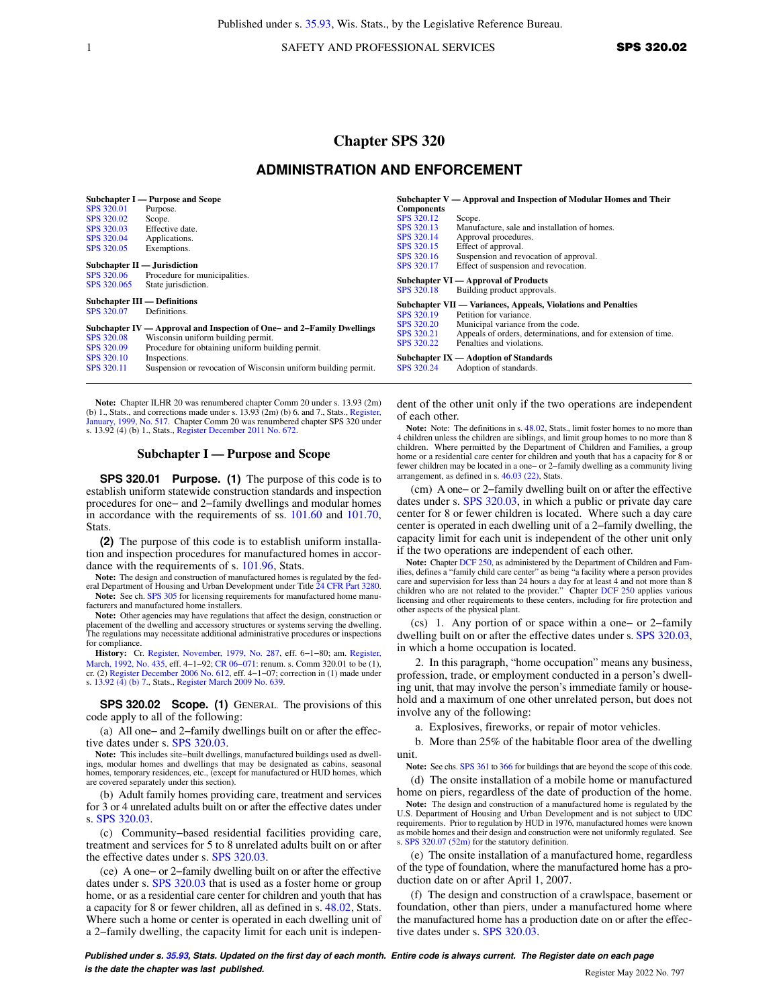1 SAFETY AND PROFESSIONAL SERVICES SPS 320.02

# **Chapter SPS 320**

# **ADMINISTRATION AND ENFORCEMENT**

| SPS 320.01<br>SPS 320.02<br>SPS 320.03<br>SPS 320.04<br>SPS 320.05<br>SPS 320.06<br>SPS 320.065 | Subchapter I — Purpose and Scope<br>Purpose.<br>Scope.<br>Effective date.<br>Applications.<br>Exemptions.<br>Subchapter $II$ — Jurisdiction<br>Procedure for municipalities.<br>State jurisdiction.                                                                                                       | <b>Components</b><br>SPS 320.12<br>SPS 320.13<br>SPS 320.14<br>SPS 320.15<br>SPS 320.16<br>SPS 320.17 | Subchapter $V -$ Approval and Inspection of Modular Homes and Their<br>Scope.<br>Manufacture, sale and installation of homes.<br>Approval procedures.<br>Effect of approval.<br>Suspension and revocation of approval.<br>Effect of suspension and revocation.<br>Subchapter VI — Approval of Products                         |
|-------------------------------------------------------------------------------------------------|-----------------------------------------------------------------------------------------------------------------------------------------------------------------------------------------------------------------------------------------------------------------------------------------------------------|-------------------------------------------------------------------------------------------------------|--------------------------------------------------------------------------------------------------------------------------------------------------------------------------------------------------------------------------------------------------------------------------------------------------------------------------------|
| SPS 320.07<br>SPS 320.08<br>SPS 320.09<br>SPS 320.10<br>SPS 320.11                              | <b>Subchapter III — Definitions</b><br>Definitions.<br>Subchapter IV — Approval and Inspection of One- and 2-Family Dwellings<br>Wisconsin uniform building permit.<br>Procedure for obtaining uniform building permit.<br>Inspections.<br>Suspension or revocation of Wisconsin uniform building permit. | SPS 320.18<br>SPS 320.19<br>SPS 320.20<br>SPS 320.21<br>SPS 320.22<br>SPS 320.24                      | Building product approvals.<br>Subchapter VII — Variances, Appeals, Violations and Penalties<br>Petition for variance.<br>Municipal variance from the code.<br>Appeals of orders, determinations, and for extension of time.<br>Penalties and violations.<br>Subchapter $IX -$ Adoption of Standards<br>Adoption of standards. |

**Note:** Chapter ILHR 20 was renumbered chapter Comm 20 under s. 13.93 (2m) (b) 1., Stats., and corrections made under s. 13.93 (2m) (b) 6. and 7., Stats., [Register,](https://docs-preview.legis.wisconsin.gov/document/register/517/B/toc) [January, 1999, No. 517.](https://docs-preview.legis.wisconsin.gov/document/register/517/B/toc) Chapter Comm 20 was renumbered chapter SPS 320 under s. 13.92 (4) (b) 1., Stats., [Register December 2011 No. 672.](https://docs-preview.legis.wisconsin.gov/document/register/672/B/toc)

### **Subchapter I — Purpose and Scope**

**SPS 320.01 Purpose. (1)** The purpose of this code is to establish uniform statewide construction standards and inspection procedures for one− and 2−family dwellings and modular homes in accordance with the requirements of ss. [101.60](https://docs-preview.legis.wisconsin.gov/document/statutes/101.60) and [101.70,](https://docs-preview.legis.wisconsin.gov/document/statutes/101.70) **Stats** 

**(2)** The purpose of this code is to establish uniform installation and inspection procedures for manufactured homes in accordance with the requirements of s. [101.96](https://docs-preview.legis.wisconsin.gov/document/statutes/101.96), Stats.

**Note:** The design and construction of manufactured homes is regulated by the fed-eral Department of Housing and Urban Development under Title [24 CFR Part 3280](https://docs-preview.legis.wisconsin.gov/document/cfr/24%20CFR%203280). Note: See ch. [SPS 305](https://docs-preview.legis.wisconsin.gov/document/administrativecode/ch.%20SPS%20305) for licensing requirements for manufactured home manufacturers and manufactured home installers.

**Note:** Other agencies may have regulations that affect the design, construction or placement of the dwelling and accessory structures or systems serving the dwelling. The regulations may necessitate additional administrative procedures or inspections for compliance

**History:** Cr. [Register, November, 1979, No. 287,](https://docs-preview.legis.wisconsin.gov/document/register/287/B/toc) eff. 6−1−80; am. [Register,](https://docs-preview.legis.wisconsin.gov/document/register/435/B/toc) [March, 1992, No. 435,](https://docs-preview.legis.wisconsin.gov/document/register/435/B/toc) eff. 4−1−92; [CR 06−071](https://docs-preview.legis.wisconsin.gov/document/cr/2006/71): renum. s. Comm 320.01 to be (1), cr. (2) [Register December 2006 No. 612](https://docs-preview.legis.wisconsin.gov/document/register/612/B/toc), eff. 4−1−07; correction in (1) made under s. [13.92 \(4\) \(b\) 7.,](https://docs-preview.legis.wisconsin.gov/document/statutes/13.92(4)(b)7.) Stats., [Register March 2009 No. 639.](https://docs-preview.legis.wisconsin.gov/document/register/639/B/toc)

**SPS 320.02 Scope. (1)** GENERAL. The provisions of this code apply to all of the following:

(a) All one− and 2−family dwellings built on or after the effective dates under s. [SPS 320.03.](https://docs-preview.legis.wisconsin.gov/document/administrativecode/SPS%20320.03)

**Note:** This includes site−built dwellings, manufactured buildings used as dwellings, modular homes and dwellings that may be designated as cabins, seasonal homes, temporary residences, etc., (except for manufactured or HUD homes, which are covered separately under this section).

(b) Adult family homes providing care, treatment and services for 3 or 4 unrelated adults built on or after the effective dates under s. [SPS 320.03.](https://docs-preview.legis.wisconsin.gov/document/administrativecode/SPS%20320.03)

(c) Community−based residential facilities providing care, treatment and services for 5 to 8 unrelated adults built on or after the effective dates under s. [SPS 320.03.](https://docs-preview.legis.wisconsin.gov/document/administrativecode/SPS%20320.03)

(ce) A one− or 2−family dwelling built on or after the effective dates under s. [SPS 320.03](https://docs-preview.legis.wisconsin.gov/document/administrativecode/SPS%20320.03) that is used as a foster home or group home, or as a residential care center for children and youth that has a capacity for 8 or fewer children, all as defined in s. [48.02](https://docs-preview.legis.wisconsin.gov/document/statutes/48.02), Stats. Where such a home or center is operated in each dwelling unit of a 2−family dwelling, the capacity limit for each unit is independent of the other unit only if the two operations are independent of each other.

**Note:** Note: The definitions in s. [48.02](https://docs-preview.legis.wisconsin.gov/document/statutes/48.02), Stats., limit foster homes to no more than 4 children unless the children are siblings, and limit group homes to no more than 8 children. Where permitted by the Department of Children and Families, a group home or a residential care center for children and youth that has a capacity for 8 or fewer children may be located in a one− or 2−family dwelling as a community living arrangement, as defined in s. [46.03 \(22\),](https://docs-preview.legis.wisconsin.gov/document/statutes/46.03(22)) Stats.

(cm) A one− or 2−family dwelling built on or after the effective dates under s. [SPS 320.03,](https://docs-preview.legis.wisconsin.gov/document/administrativecode/SPS%20320.03) in which a public or private day care center for 8 or fewer children is located. Where such a day care center is operated in each dwelling unit of a 2−family dwelling, the capacity limit for each unit is independent of the other unit only if the two operations are independent of each other.

Note: Chapter [DCF 250](https://docs-preview.legis.wisconsin.gov/document/administrativecode/ch.%20DCF%20250), as administered by the Department of Children and Families, defines a "family child care center" as being "a facility where a person provides care and supervision for less than 24 hours a day for at least 4 and not more than 8 children who are not related to the provider." Chapter [DCF 250](https://docs-preview.legis.wisconsin.gov/document/administrativecode/ch.%20DCF%20250) applies various licensing and other requirements to these centers, including for fire protection and other aspects of the physical plant.

(cs) 1. Any portion of or space within a one− or 2−family dwelling built on or after the effective dates under s. [SPS 320.03,](https://docs-preview.legis.wisconsin.gov/document/administrativecode/SPS%20320.03) in which a home occupation is located.

2. In this paragraph, "home occupation" means any business, profession, trade, or employment conducted in a person's dwelling unit, that may involve the person's immediate family or household and a maximum of one other unrelated person, but does not involve any of the following:

a. Explosives, fireworks, or repair of motor vehicles.

b. More than 25% of the habitable floor area of the dwelling unit.

**Note:** See chs. [SPS 361](https://docs-preview.legis.wisconsin.gov/document/administrativecode/ch.%20SPS%20361) to [366](https://docs-preview.legis.wisconsin.gov/document/administrativecode/ch.%20SPS%20366) for buildings that are beyond the scope of this code.

(d) The onsite installation of a mobile home or manufactured home on piers, regardless of the date of production of the home.

**Note:** The design and construction of a manufactured home is regulated by the U.S. Department of Housing and Urban Development and is not subject to UDC requirements. Prior to regulation by HUD in 1976, manufactured homes were known as mobile homes and their design and construction were not uniformly regulated. See s. [SPS 320.07 \(52m\)](https://docs-preview.legis.wisconsin.gov/document/administrativecode/SPS%20320.07(52m)) for the statutory definition.

(e) The onsite installation of a manufactured home, regardless of the type of foundation, where the manufactured home has a production date on or after April 1, 2007.

(f) The design and construction of a crawlspace, basement or foundation, other than piers, under a manufactured home where the manufactured home has a production date on or after the effective dates under s. [SPS 320.03.](https://docs-preview.legis.wisconsin.gov/document/administrativecode/SPS%20320.03)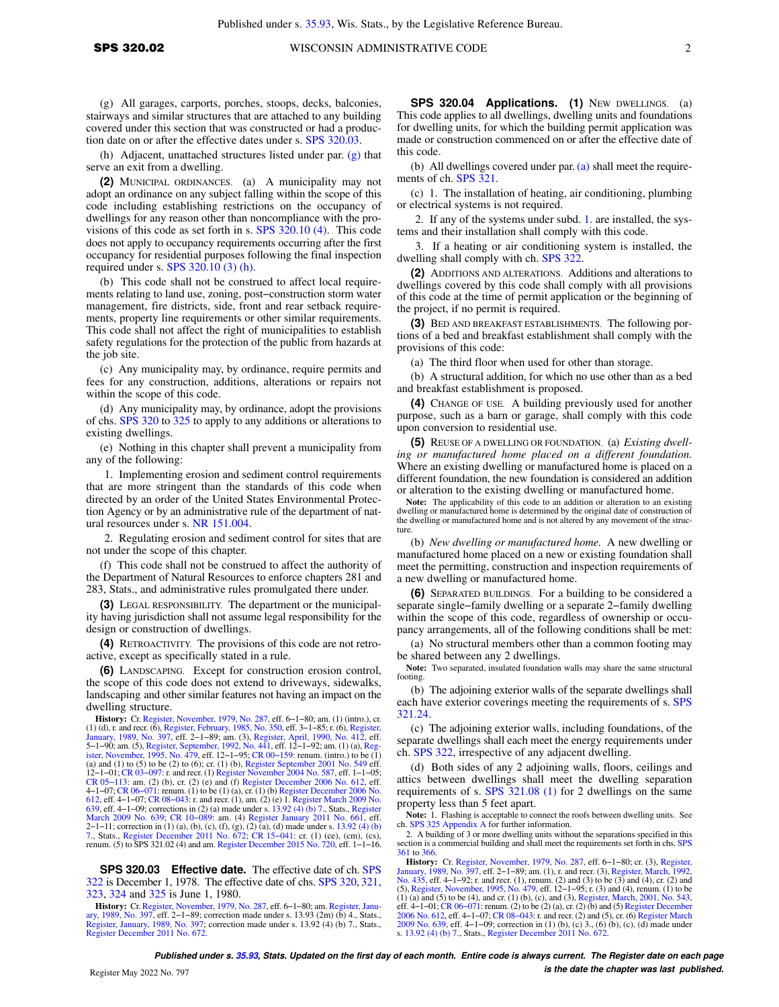(g) All garages, carports, porches, stoops, decks, balconies, stairways and similar structures that are attached to any building covered under this section that was constructed or had a production date on or after the effective dates under s. [SPS 320.03](https://docs-preview.legis.wisconsin.gov/document/administrativecode/SPS%20320.03).

(h) Adjacent, unattached structures listed under par.  $(g)$  that serve an exit from a dwelling.

**(2)** MUNICIPAL ORDINANCES. (a) A municipality may not adopt an ordinance on any subject falling within the scope of this code including establishing restrictions on the occupancy of dwellings for any reason other than noncompliance with the provisions of this code as set forth in s. [SPS 320.10 \(4\).](https://docs-preview.legis.wisconsin.gov/document/administrativecode/SPS%20320.10(4)) This code does not apply to occupancy requirements occurring after the first occupancy for residential purposes following the final inspection required under s. [SPS 320.10 \(3\) \(h\).](https://docs-preview.legis.wisconsin.gov/document/administrativecode/SPS%20320.10(3)(h))

(b) This code shall not be construed to affect local requirements relating to land use, zoning, post−construction storm water management, fire districts, side, front and rear setback requirements, property line requirements or other similar requirements. This code shall not affect the right of municipalities to establish safety regulations for the protection of the public from hazards at the job site.

(c) Any municipality may, by ordinance, require permits and fees for any construction, additions, alterations or repairs not within the scope of this code.

(d) Any municipality may, by ordinance, adopt the provisions of chs. [SPS 320](https://docs-preview.legis.wisconsin.gov/document/administrativecode/ch.%20SPS%20320) to [325](https://docs-preview.legis.wisconsin.gov/document/administrativecode/ch.%20SPS%20325) to apply to any additions or alterations to existing dwellings.

(e) Nothing in this chapter shall prevent a municipality from any of the following:

1. Implementing erosion and sediment control requirements that are more stringent than the standards of this code when directed by an order of the United States Environmental Protection Agency or by an administrative rule of the department of natural resources under s. [NR 151.004.](https://docs-preview.legis.wisconsin.gov/document/administrativecode/NR%20151.004)

2. Regulating erosion and sediment control for sites that are not under the scope of this chapter.

(f) This code shall not be construed to affect the authority of the Department of Natural Resources to enforce chapters 281 and 283, Stats., and administrative rules promulgated there under.

**(3)** LEGAL RESPONSIBILITY. The department or the municipality having jurisdiction shall not assume legal responsibility for the design or construction of dwellings.

**(4)** RETROACTIVITY. The provisions of this code are not retroactive, except as specifically stated in a rule.

**(6)** LANDSCAPING. Except for construction erosion control, the scope of this code does not extend to driveways, sidewalks, landscaping and other similar features not having an impact on the dwelling structure.

**History:** Cr. [Register, November, 1979, No. 287,](https://docs-preview.legis.wisconsin.gov/document/register/287/B/toc) eff. 6−1−80; am. (1) (intro.), cr. (1) (d), r. and recr. (6), [Register, February, 1985, No. 350,](https://docs-preview.legis.wisconsin.gov/document/register/350/B/toc) eff. 3–1–85; r. (6), [Register,](https://docs-preview.legis.wisconsin.gov/document/register/397/B/toc) [January, 1989, No. 397](https://docs-preview.legis.wisconsin.gov/document/register/397/B/toc), eff. 2–1–89; am. (3), [Register, April, 1990, No. 412,](https://docs-preview.legis.wisconsin.gov/document/register/412/B/toc) eff. 3–1–90; am. (3), Register, April, 1990, No. 41 (a) and (1) to (5) to be (2) to (6); cr. (1) (b), [Register September 2001 No. 549](https://docs-preview.legis.wisconsin.gov/document/register/549/B/toc) eff. 12−1−01; [CR 03−097](https://docs-preview.legis.wisconsin.gov/document/cr/2003/97): r. and recr. (1) [Register November 2004 No. 587](https://docs-preview.legis.wisconsin.gov/document/register/587/B/toc), eff. 1−1−05; [CR 05−113](https://docs-preview.legis.wisconsin.gov/document/cr/2005/113): am. (2) (b), cr. (2) (e) and (f) [Register December 2006 No. 612,](https://docs-preview.legis.wisconsin.gov/document/register/612/B/toc) eff. 4−1−07; [CR 06−071:](https://docs-preview.legis.wisconsin.gov/document/cr/2006/71) renum. (1) to be (1) (a), cr. (1) (b) [Register December 2006 No.](https://docs-preview.legis.wisconsin.gov/document/register/612/B/toc) [612](https://docs-preview.legis.wisconsin.gov/document/register/612/B/toc), eff. 4−1−07; [CR 08−043](https://docs-preview.legis.wisconsin.gov/document/cr/2008/43): r. and recr. (1), am. (2) (e) 1. [Register March 2009 No.](https://docs-preview.legis.wisconsin.gov/document/register/639/B/toc) [639](https://docs-preview.legis.wisconsin.gov/document/register/639/B/toc), eff. 4−1−09; corrections in (2) (a) made under s. [13.92 \(4\) \(b\) 7.](https://docs-preview.legis.wisconsin.gov/document/statutes/13.92(4)(b)7.), Stats., [Register](https://docs-preview.legis.wisconsin.gov/document/register/639/B/toc) [March 2009 No. 639](https://docs-preview.legis.wisconsin.gov/document/register/639/B/toc); CR 10–089: am. (4) [Register January 2011 No. 661](https://docs-preview.legis.wisconsin.gov/document/register/661/B/toc), eff.<br>2–1–11; correction in (1) (a), (b), (c), (f), (g), (2) (a), (d) made under s. [13.92 \(4\) \(b\)](https://docs-preview.legis.wisconsin.gov/document/statutes/13.92(4)(b)7.)<br>[7.](https://docs-preview.legis.wisconsin.gov/document/statutes/13.92(4)(b)7.), Stats., [Register December 2011 No. 672;](https://docs-preview.legis.wisconsin.gov/document/register/672/B/toc) CR 15–041: renum. (5) to SPS 321.02 (4) and am. [Register December 2015 No. 720](https://docs-preview.legis.wisconsin.gov/document/register/720/B/toc), eff. 1−1−16.

**SPS 320.03 Effective date.** The effective date of ch. [SPS](https://docs-preview.legis.wisconsin.gov/document/administrativecode/ch.%20SPS%20322) [322](https://docs-preview.legis.wisconsin.gov/document/administrativecode/ch.%20SPS%20322) is December 1, 1978. The effective date of chs. [SPS 320](https://docs-preview.legis.wisconsin.gov/document/administrativecode/ch.%20SPS%20320), [321,](https://docs-preview.legis.wisconsin.gov/document/administrativecode/ch.%20SPS%20321) [323](https://docs-preview.legis.wisconsin.gov/document/administrativecode/ch.%20SPS%20323), [324](https://docs-preview.legis.wisconsin.gov/document/administrativecode/ch.%20SPS%20324) and [325](https://docs-preview.legis.wisconsin.gov/document/administrativecode/ch.%20SPS%20325) is June 1, 1980.

**History:** Cr. [Register, November, 1979, No. 287](https://docs-preview.legis.wisconsin.gov/document/register/287/B/toc), eff. 6−1−80; am. [Register, Janu](https://docs-preview.legis.wisconsin.gov/document/register/397/B/toc)[ary, 1989, No. 397](https://docs-preview.legis.wisconsin.gov/document/register/397/B/toc), eff. 2−1−89; correction made under s. 13.93 (2m) (b) 4., Stats., [Register, January, 1989, No. 397](https://docs-preview.legis.wisconsin.gov/document/register/397/B/toc); correction made under s. 13.92 (4) (b) 7., Stats., [Register December 2011 No. 672.](https://docs-preview.legis.wisconsin.gov/document/register/672/B/toc)

**SPS 320.04 Applications. (1)** NEW DWELLINGS. (a) This code applies to all dwellings, dwelling units and foundations for dwelling units, for which the building permit application was made or construction commenced on or after the effective date of this code.

(b) All dwellings covered under par. [\(a\)](https://docs-preview.legis.wisconsin.gov/document/administrativecode/SPS%20320.04(1)(a)) shall meet the requirements of ch. [SPS 321.](https://docs-preview.legis.wisconsin.gov/document/administrativecode/ch.%20SPS%20321)

(c) 1. The installation of heating, air conditioning, plumbing or electrical systems is not required.

2. If any of the systems under subd. [1.](https://docs-preview.legis.wisconsin.gov/document/administrativecode/SPS%20320.04(1)(c)1.) are installed, the systems and their installation shall comply with this code.

3. If a heating or air conditioning system is installed, the dwelling shall comply with ch. [SPS 322](https://docs-preview.legis.wisconsin.gov/document/administrativecode/ch.%20SPS%20322).

**(2)** ADDITIONS AND ALTERATIONS. Additions and alterations to dwellings covered by this code shall comply with all provisions of this code at the time of permit application or the beginning of the project, if no permit is required.

**(3)** BED AND BREAKFAST ESTABLISHMENTS. The following portions of a bed and breakfast establishment shall comply with the provisions of this code:

(a) The third floor when used for other than storage.

(b) A structural addition, for which no use other than as a bed and breakfast establishment is proposed.

**(4)** CHANGE OF USE. A building previously used for another purpose, such as a barn or garage, shall comply with this code upon conversion to residential use.

**(5)** REUSE OF A DWELLING OR FOUNDATION. (a) *Existing dwelling or manufactured home placed on a different foundation.* Where an existing dwelling or manufactured home is placed on a different foundation, the new foundation is considered an addition or alteration to the existing dwelling or manufactured home.

**Note:** The applicability of this code to an addition or alteration to an existing dwelling or manufactured home is determined by the original date of construction of the dwelling or manufactured home and is not altered by any movement of the structure.

(b) *New dwelling or manufactured home.* A new dwelling or manufactured home placed on a new or existing foundation shall meet the permitting, construction and inspection requirements of a new dwelling or manufactured home.

**(6)** SEPARATED BUILDINGS. For a building to be considered a separate single−family dwelling or a separate 2−family dwelling within the scope of this code, regardless of ownership or occupancy arrangements, all of the following conditions shall be met:

(a) No structural members other than a common footing may be shared between any 2 dwellings.

**Note:** Two separated, insulated foundation walls may share the same structural footing.

(b) The adjoining exterior walls of the separate dwellings shall each have exterior coverings meeting the requirements of s. [SPS](https://docs-preview.legis.wisconsin.gov/document/administrativecode/SPS%20321.24) [321.24](https://docs-preview.legis.wisconsin.gov/document/administrativecode/SPS%20321.24).

(c) The adjoining exterior walls, including foundations, of the separate dwellings shall each meet the energy requirements under ch. [SPS 322](https://docs-preview.legis.wisconsin.gov/document/administrativecode/ch.%20SPS%20322), irrespective of any adjacent dwelling.

(d) Both sides of any 2 adjoining walls, floors, ceilings and attics between dwellings shall meet the dwelling separation requirements of s. [SPS 321.08 \(1\)](https://docs-preview.legis.wisconsin.gov/document/administrativecode/SPS%20321.08(1)) for 2 dwellings on the same property less than 5 feet apart.

**Note:** 1. Flashing is acceptable to connect the roofs between dwelling units. See ch. [SPS 325 Appendix A](https://docs-preview.legis.wisconsin.gov/document/administrativecode/ch.%20SPS%20325%20Appendix%20A) for further information.

2. A building of 3 or more dwelling units without the separations specified in this section is a commercial building and shall meet the requirements set forth in chs. [SPS](https://docs-preview.legis.wisconsin.gov/document/administrativecode/ch.%20SPS%20361) [361](https://docs-preview.legis.wisconsin.gov/document/administrativecode/ch.%20SPS%20361) to [366](https://docs-preview.legis.wisconsin.gov/document/administrativecode/ch.%20SPS%20366).

**History:** Cr. [Register, November, 1979, No. 287,](https://docs-preview.legis.wisconsin.gov/document/register/287/B/toc) eff. 6−1−80; cr. (3), [Register,](https://docs-preview.legis.wisconsin.gov/document/register/397/B/toc) [January, 1989, No. 397](https://docs-preview.legis.wisconsin.gov/document/register/397/B/toc), eff. 2–1–89; am. (1), r. and recr. (3), [Register, March, 1992,](https://docs-preview.legis.wisconsin.gov/document/register/435/B/toc)<br>[No. 435](https://docs-preview.legis.wisconsin.gov/document/register/435/B/toc), eff. 4–1–92; r. and recr. (1), renum. (2) and (3) to be (3) and (4), cr. (2) and<br>(5), [Register, November, 1995, No. 479](https://docs-preview.legis.wisconsin.gov/document/register/479/B/toc), eff. (1) (a) and (5) to be (4), and cr. (1) (b), (c), and (3), [Register, March, 2001, No. 543](https://docs-preview.legis.wisconsin.gov/document/register/543/B/toc), 1-1-01; CR 06-071: renum. (2) to be (2) (a), cr. (2) (b) and (5) [Register December](https://docs-preview.legis.wisconsin.gov/document/register/612/B/toc)<br>[2006 No. 612,](https://docs-preview.legis.wisconsin.gov/document/register/612/B/toc) eff. 4-1-07; CR 08-043: r. and rec s. [13.92 \(4\) \(b\) 7.](https://docs-preview.legis.wisconsin.gov/document/statutes/13.92(4)(b)7.), Stats., [Register December 2011 No. 672](https://docs-preview.legis.wisconsin.gov/document/register/672/B/toc).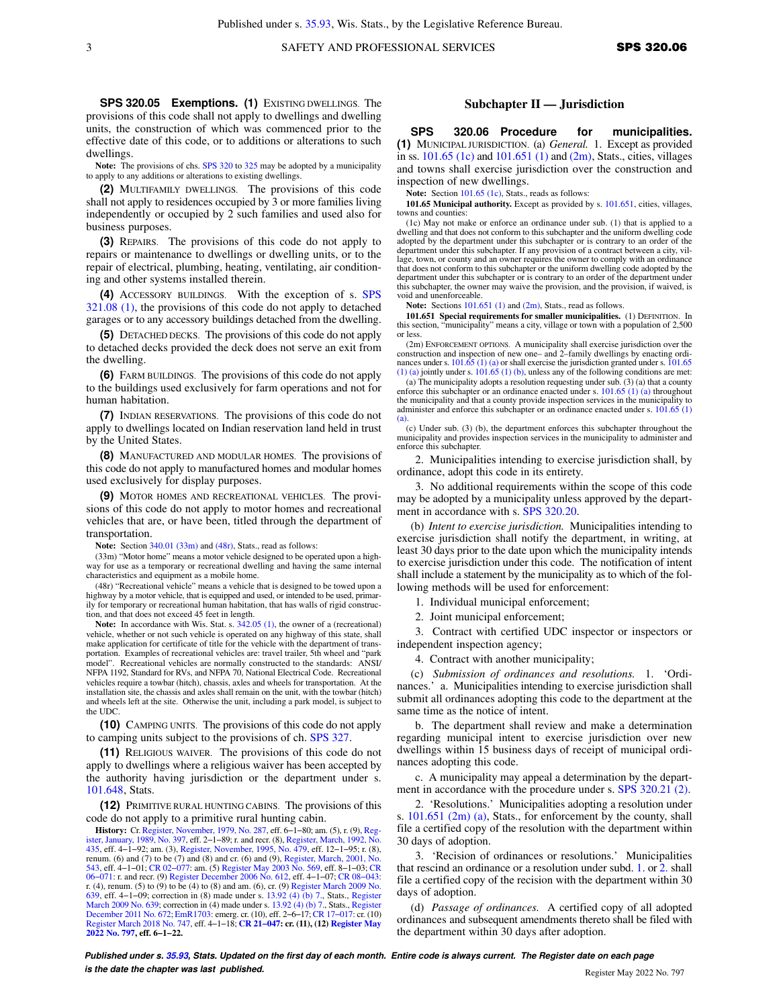**SPS 320.05 Exemptions. (1)** EXISTING DWELLINGS. The provisions of this code shall not apply to dwellings and dwelling units, the construction of which was commenced prior to the effective date of this code, or to additions or alterations to such dwellings.

**Note:** The provisions of chs. [SPS 320](https://docs-preview.legis.wisconsin.gov/document/administrativecode/ch.%20SPS%20320) to [325](https://docs-preview.legis.wisconsin.gov/document/administrativecode/ch.%20SPS%20325) may be adopted by a municipality to apply to any additions or alterations to existing dwellings.

**(2)** MULTIFAMILY DWELLINGS. The provisions of this code shall not apply to residences occupied by 3 or more families living independently or occupied by 2 such families and used also for business purposes.

**(3)** REPAIRS. The provisions of this code do not apply to repairs or maintenance to dwellings or dwelling units, or to the repair of electrical, plumbing, heating, ventilating, air conditioning and other systems installed therein.

**(4)** ACCESSORY BUILDINGS. With the exception of s. [SPS](https://docs-preview.legis.wisconsin.gov/document/administrativecode/SPS%20321.08(1)) [321.08 \(1\),](https://docs-preview.legis.wisconsin.gov/document/administrativecode/SPS%20321.08(1)) the provisions of this code do not apply to detached garages or to any accessory buildings detached from the dwelling.

**(5)** DETACHED DECKS. The provisions of this code do not apply to detached decks provided the deck does not serve an exit from the dwelling.

**(6)** FARM BUILDINGS. The provisions of this code do not apply to the buildings used exclusively for farm operations and not for human habitation.

**(7)** INDIAN RESERVATIONS. The provisions of this code do not apply to dwellings located on Indian reservation land held in trust by the United States.

**(8)** MANUFACTURED AND MODULAR HOMES. The provisions of this code do not apply to manufactured homes and modular homes used exclusively for display purposes.

**(9)** MOTOR HOMES AND RECREATIONAL VEHICLES. The provisions of this code do not apply to motor homes and recreational vehicles that are, or have been, titled through the department of transportation.

**Note:** Section [340.01 \(33m\)](https://docs-preview.legis.wisconsin.gov/document/statutes/340.01(33m)) and [\(48r\)](https://docs-preview.legis.wisconsin.gov/document/statutes/340.01(48r)), Stats., read as follows:

(33m) "Motor home" means a motor vehicle designed to be operated upon a highway for use as a temporary or recreational dwelling and having the same internal characteristics and equipment as a mobile home.

(48r) "Recreational vehicle" means a vehicle that is designed to be towed upon a highway by a motor vehicle, that is equipped and used, or intended to be used, primarily for temporary or recreational human habitation, that has walls of rigid construc-tion, and that does not exceed 45 feet in length.

Note: In accordance with Wis. Stat. s.  $342.05$  (1), the owner of a (recreational) vehicle, whether or not such vehicle is operated on any highway of this state, shall make application for certificate of title for the vehicle with the department of transportation. Examples of recreational vehicles are: travel trailer, 5th wheel and "park model". Recreational vehicles are normally constructed to the standards: ANSI/ NFPA 1192, Standard for RVs, and NFPA 70, National Electrical Code. Recreational vehicles require a towbar (hitch), chassis, axles and wheels for transportation. At the installation site, the chassis and axles shall remain on the unit, with the towbar (hitch) and wheels left at the site. Otherwise the unit, including a park model, is subject to the UDC.

**(10)** CAMPING UNITS. The provisions of this code do not apply to camping units subject to the provisions of ch. [SPS 327.](https://docs-preview.legis.wisconsin.gov/document/administrativecode/ch.%20SPS%20327)

**(11)** RELIGIOUS WAIVER. The provisions of this code do not apply to dwellings where a religious waiver has been accepted by the authority having jurisdiction or the department under s. [101.648](https://docs-preview.legis.wisconsin.gov/document/statutes/101.648), Stats.

**(12)** PRIMITIVE RURAL HUNTING CABINS. The provisions of this code do not apply to a primitive rural hunting cabin.

**History:** Cr. [Register, November, 1979, No. 287](https://docs-preview.legis.wisconsin.gov/document/register/287/B/toc), eff. 6−1−80; am. (5), r. (9), [Reg](https://docs-preview.legis.wisconsin.gov/document/register/397/B/toc)[ister, January, 1989, No. 397](https://docs-preview.legis.wisconsin.gov/document/register/397/B/toc), eff. 2−1−89; r. and recr. (8), [Register, March, 1992, No.](https://docs-preview.legis.wisconsin.gov/document/register/435/B/toc) [435](https://docs-preview.legis.wisconsin.gov/document/register/435/B/toc), eff. 4−1−92; am. (3), [Register, November, 1995, No. 479](https://docs-preview.legis.wisconsin.gov/document/register/479/B/toc), eff. 12−1−95; r. (8), renum. (6) and (7) to be (7) and (8) and cr. (6) and (9), [Register, March, 2001, No.](https://docs-preview.legis.wisconsin.gov/document/register/543/B/toc) [543](https://docs-preview.legis.wisconsin.gov/document/register/543/B/toc), eff. 4−1−01; [CR 02−077](https://docs-preview.legis.wisconsin.gov/document/cr/2002/77): am. (5) [Register May 2003 No. 569,](https://docs-preview.legis.wisconsin.gov/document/register/569/B/toc) eff. 8−1−03; [CR](https://docs-preview.legis.wisconsin.gov/document/cr/2006/71) [06−071:](https://docs-preview.legis.wisconsin.gov/document/cr/2006/71) r. and recr. (9) [Register December 2006 No. 612,](https://docs-preview.legis.wisconsin.gov/document/register/612/B/toc) eff. 4−1−07; [CR 08−043:](https://docs-preview.legis.wisconsin.gov/document/cr/2008/43) r. (4), renum. (5) to (9) to be (4) to (8) and am. (6), cr. (9) [Register March 2009 No.](https://docs-preview.legis.wisconsin.gov/document/register/639/B/toc) [639](https://docs-preview.legis.wisconsin.gov/document/register/639/B/toc), eff. 4−1−09; correction in (8) made under s. [13.92 \(4\) \(b\) 7.](https://docs-preview.legis.wisconsin.gov/document/statutes/13.92(4)(b)7.), Stats., [Register](https://docs-preview.legis.wisconsin.gov/document/register/639/B/toc) [March 2009 No. 639;](https://docs-preview.legis.wisconsin.gov/document/register/639/B/toc) correction in (4) made under s. [13.92 \(4\) \(b\) 7.](https://docs-preview.legis.wisconsin.gov/document/statutes/13.92(4)(b)7.), Stats., [Register](https://docs-preview.legis.wisconsin.gov/document/register/672/B/toc) [December 2011 No. 672](https://docs-preview.legis.wisconsin.gov/document/register/672/B/toc); [EmR1703:](https://docs-preview.legis.wisconsin.gov/document/emergencyrules/EmR1703) emerg. cr. (10), eff. 2−6−17; [CR 17−017](https://docs-preview.legis.wisconsin.gov/document/cr/2017/17): cr. (10) [Register March 2018 No. 747,](https://docs-preview.legis.wisconsin.gov/document/register/747/B/toc) eff. 4−1−18; **[CR 21−047](https://docs-preview.legis.wisconsin.gov/document/cr/2021/47): cr. (11), (12) [Register May](https://docs-preview.legis.wisconsin.gov/document/register/797/B/toc) [2022 No. 797](https://docs-preview.legis.wisconsin.gov/document/register/797/B/toc), eff. 6−1−22.**

### **Subchapter II — Jurisdiction**

**SPS 320.06 Procedure for municipalities. (1)** MUNICIPAL JURISDICTION. (a) *General.* 1. Except as provided in ss.  $101.65$  (1c) and  $101.651$  (1) and  $(2m)$ , Stats., cities, villages and towns shall exercise jurisdiction over the construction and inspection of new dwellings.

Note: Section [101.65 \(1c\)](https://docs-preview.legis.wisconsin.gov/document/statutes/101.65(1c)), Stats., reads as follows:

**101.65 Municipal authority.** Except as provided by s. [101.651,](https://docs-preview.legis.wisconsin.gov/document/statutes/101.651) cities, villages, towns and counties:

(1c) May not make or enforce an ordinance under sub. (1) that is applied to a dwelling and that does not conform to this subchapter and the uniform dwelling code adopted by the department under this subchapter or is contrary to an order of the department under this subchapter. If any provision of a contract between a city, village, town, or county and an owner requires the owner to comply with an ordinance that does not conform to this subchapter or the uniform dwelling code adopted by the department under this subchapter or is contrary to an order of the department under this subchapter, the owner may waive the provision, and the provision, if waived, is void and unenforceable.

Note: Sections [101.651 \(1\)](https://docs-preview.legis.wisconsin.gov/document/statutes/101.651(1)) and [\(2m\),](https://docs-preview.legis.wisconsin.gov/document/statutes/101.651(2m)) Stats., read as follows.

**101.651 Special requirements for smaller municipalities.** (1) DEFINITION. In this section, "municipality" means a city, village or town with a population of 2,500 or less.

(2m) ENFORCEMENT OPTIONS. A municipality shall exercise jurisdiction over the construction and inspection of new one- and 2-family dwellings by enacting ordinances under s.  $101.65$  (1) (a) or shall exercise the jurisdict [\(1\) \(a\)](https://docs-preview.legis.wisconsin.gov/document/statutes/101.65(1)(a)) jointly under s.  $101.65$  (1) (b), unless any of the following conditions are met:

(a) The municipality adopts a resolution requesting under sub. (3) (a) that a county enforce this subchapter or an ordinance enacted under s. [101.65 \(1\) \(a\)](https://docs-preview.legis.wisconsin.gov/document/statutes/101.65(1)(a)) throughout the municipality and that a county provide inspection services in the municipality to administer and enforce this subchapter or an ordinance enacted under s. [101.65 \(1\)](https://docs-preview.legis.wisconsin.gov/document/statutes/101.65(1)(a)) [\(a\).](https://docs-preview.legis.wisconsin.gov/document/statutes/101.65(1)(a))

(c) Under sub. (3) (b), the department enforces this subchapter throughout the municipality and provides inspection services in the municipality to administer and enforce this subchapter.

2. Municipalities intending to exercise jurisdiction shall, by ordinance, adopt this code in its entirety.

3. No additional requirements within the scope of this code may be adopted by a municipality unless approved by the department in accordance with s. [SPS 320.20](https://docs-preview.legis.wisconsin.gov/document/administrativecode/SPS%20320.20).

(b) *Intent to exercise jurisdiction.* Municipalities intending to exercise jurisdiction shall notify the department, in writing, at least 30 days prior to the date upon which the municipality intends to exercise jurisdiction under this code. The notification of intent shall include a statement by the municipality as to which of the following methods will be used for enforcement:

1. Individual municipal enforcement;

2. Joint municipal enforcement;

3. Contract with certified UDC inspector or inspectors or independent inspection agency;

4. Contract with another municipality;

(c) *Submission of ordinances and resolutions.* 1. 'Ordinances.' a. Municipalities intending to exercise jurisdiction shall submit all ordinances adopting this code to the department at the same time as the notice of intent.

b. The department shall review and make a determination regarding municipal intent to exercise jurisdiction over new dwellings within 15 business days of receipt of municipal ordinances adopting this code.

c. A municipality may appeal a determination by the depart-ment in accordance with the procedure under s. [SPS 320.21 \(2\).](https://docs-preview.legis.wisconsin.gov/document/administrativecode/SPS%20320.21(2))

2. 'Resolutions.' Municipalities adopting a resolution under s. [101.651 \(2m\) \(a\),](https://docs-preview.legis.wisconsin.gov/document/statutes/101.651(2m)(a)) Stats., for enforcement by the county, shall file a certified copy of the resolution with the department within 30 days of adoption.

3. 'Recision of ordinances or resolutions.' Municipalities that rescind an ordinance or a resolution under subd. [1.](https://docs-preview.legis.wisconsin.gov/document/administrativecode/SPS%20320.06(1)(c)1.) or [2.](https://docs-preview.legis.wisconsin.gov/document/administrativecode/SPS%20320.06(1)(c)2.) shall file a certified copy of the recision with the department within 30 days of adoption.

(d) *Passage of ordinances.* A certified copy of all adopted ordinances and subsequent amendments thereto shall be filed with the department within 30 days after adoption.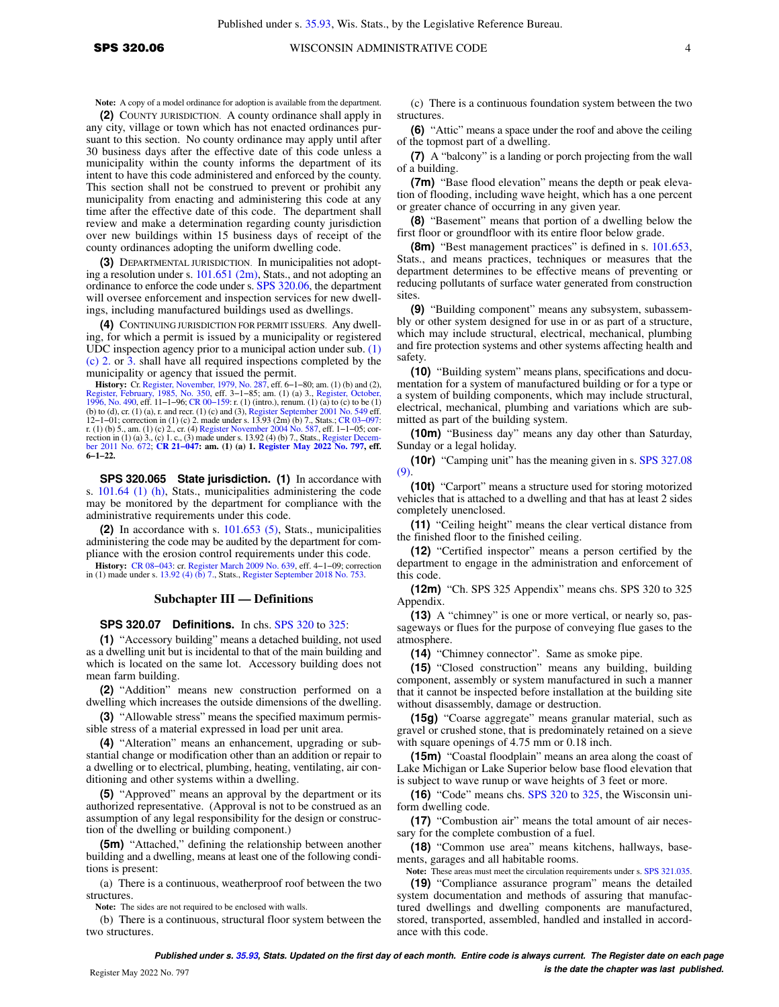**Note:** A copy of a model ordinance for adoption is available from the department.

**(2)** COUNTY JURISDICTION. A county ordinance shall apply in any city, village or town which has not enacted ordinances pursuant to this section. No county ordinance may apply until after 30 business days after the effective date of this code unless a municipality within the county informs the department of its intent to have this code administered and enforced by the county. This section shall not be construed to prevent or prohibit any municipality from enacting and administering this code at any time after the effective date of this code. The department shall review and make a determination regarding county jurisdiction over new buildings within 15 business days of receipt of the county ordinances adopting the uniform dwelling code.

**(3)** DEPARTMENTAL JURISDICTION. In municipalities not adopting a resolution under s. [101.651 \(2m\),](https://docs-preview.legis.wisconsin.gov/document/statutes/101.651(2m)) Stats., and not adopting an ordinance to enforce the code under s. [SPS 320.06](https://docs-preview.legis.wisconsin.gov/document/administrativecode/SPS%20320.06), the department will oversee enforcement and inspection services for new dwellings, including manufactured buildings used as dwellings.

**(4)** CONTINUING JURISDICTION FOR PERMIT ISSUERS. Any dwelling, for which a permit is issued by a municipality or registered UDC inspection agency prior to a municipal action under sub. [\(1\)](https://docs-preview.legis.wisconsin.gov/document/administrativecode/SPS%20320.06(1)(c)2.) [\(c\) 2.](https://docs-preview.legis.wisconsin.gov/document/administrativecode/SPS%20320.06(1)(c)2.) or [3.](https://docs-preview.legis.wisconsin.gov/document/administrativecode/SPS%20320.06(1)(c)3.) shall have all required inspections completed by the municipality or agency that issued the permit.

**History:** Cr. [Register, November, 1979, No. 287,](https://docs-preview.legis.wisconsin.gov/document/register/287/B/toc) eff. 6–1–80; am. (1) (b) and (2), 1981). [Register, February, 1985, No. 350](https://docs-preview.legis.wisconsin.gov/document/register/350/B/toc), eff. 3–1–85; am. (1) (a) 3.1, [Register, October,](https://docs-preview.legis.wisconsin.gov/document/register/490/B/toc) 1985, No. 490, eff. 11–1–96; CR 00–159: r. (1) (b) to (d), cr. (1) (a), r. and recr. (1) (c) and (3), [Register September 2001 No. 549](https://docs-preview.legis.wisconsin.gov/document/register/549/B/toc) eff.<br>12-1-01; correction in (1) (c) 2. made under s. 13.93 (2m) (b) 7., Stats.; CR 03-097:<br>r. (1) (b) 5., am. (1) (c) 2., cr. (4) Regi **6−1−22.**

**SPS 320.065 State jurisdiction. (1)** In accordance with s. [101.64 \(1\) \(h\),](https://docs-preview.legis.wisconsin.gov/document/statutes/101.64(1)(h)) Stats., municipalities administering the code may be monitored by the department for compliance with the administrative requirements under this code.

**(2)** In accordance with s. [101.653 \(5\),](https://docs-preview.legis.wisconsin.gov/document/statutes/101.653(5)) Stats., municipalities administering the code may be audited by the department for compliance with the erosion control requirements under this code.

**History:** [CR 08−043:](https://docs-preview.legis.wisconsin.gov/document/cr/2008/43) cr. [Register March 2009 No. 639,](https://docs-preview.legis.wisconsin.gov/document/register/639/B/toc) eff. 4−1−09; correction in (1) made under s. 13.92 (4) ( $\overline{b}$ ) 7., Stats., [Register September 2018 No. 753](https://docs-preview.legis.wisconsin.gov/document/register/753/B/toc).

#### **Subchapter III — Definitions**

#### **SPS 320.07 Definitions.** In chs. [SPS 320](https://docs-preview.legis.wisconsin.gov/document/administrativecode/ch.%20SPS%20320) to [325:](https://docs-preview.legis.wisconsin.gov/document/administrativecode/ch.%20SPS%20325)

**(1)** "Accessory building" means a detached building, not used as a dwelling unit but is incidental to that of the main building and which is located on the same lot. Accessory building does not mean farm building.

**(2)** "Addition" means new construction performed on a dwelling which increases the outside dimensions of the dwelling.

**(3)** "Allowable stress" means the specified maximum permissible stress of a material expressed in load per unit area.

**(4)** "Alteration" means an enhancement, upgrading or substantial change or modification other than an addition or repair to a dwelling or to electrical, plumbing, heating, ventilating, air conditioning and other systems within a dwelling.

**(5)** "Approved" means an approval by the department or its authorized representative. (Approval is not to be construed as an assumption of any legal responsibility for the design or construction of the dwelling or building component.)

**(5m)** "Attached," defining the relationship between another building and a dwelling, means at least one of the following conditions is present:

(a) There is a continuous, weatherproof roof between the two structures.

**Note:** The sides are not required to be enclosed with walls.

(b) There is a continuous, structural floor system between the two structures.

(c) There is a continuous foundation system between the two structures.

**(6)** "Attic" means a space under the roof and above the ceiling of the topmost part of a dwelling.

**(7)** A "balcony" is a landing or porch projecting from the wall of a building.

**(7m)** "Base flood elevation" means the depth or peak elevation of flooding, including wave height, which has a one percent or greater chance of occurring in any given year.

**(8)** "Basement" means that portion of a dwelling below the first floor or groundfloor with its entire floor below grade.

**(8m)** "Best management practices" is defined in s. [101.653,](https://docs-preview.legis.wisconsin.gov/document/statutes/101.653) Stats., and means practices, techniques or measures that the department determines to be effective means of preventing or reducing pollutants of surface water generated from construction sites.

**(9)** "Building component" means any subsystem, subassembly or other system designed for use in or as part of a structure, which may include structural, electrical, mechanical, plumbing and fire protection systems and other systems affecting health and safety.

**(10)** "Building system" means plans, specifications and documentation for a system of manufactured building or for a type or a system of building components, which may include structural, electrical, mechanical, plumbing and variations which are submitted as part of the building system.

**(10m)** "Business day" means any day other than Saturday, Sunday or a legal holiday.

**(10r)** "Camping unit" has the meaning given in s. [SPS 327.08](https://docs-preview.legis.wisconsin.gov/document/administrativecode/SPS%20327.08(9)) [\(9\).](https://docs-preview.legis.wisconsin.gov/document/administrativecode/SPS%20327.08(9))

**(10t)** "Carport" means a structure used for storing motorized vehicles that is attached to a dwelling and that has at least 2 sides completely unenclosed.

**(11)** "Ceiling height" means the clear vertical distance from the finished floor to the finished ceiling.

**(12)** "Certified inspector" means a person certified by the department to engage in the administration and enforcement of this code.

**(12m)** "Ch. SPS 325 Appendix" means chs. SPS 320 to 325 Appendix.

**(13)** A "chimney" is one or more vertical, or nearly so, passageways or flues for the purpose of conveying flue gases to the atmosphere.

**(14)** "Chimney connector". Same as smoke pipe.

**(15)** "Closed construction" means any building, building component, assembly or system manufactured in such a manner that it cannot be inspected before installation at the building site without disassembly, damage or destruction.

**(15g)** "Coarse aggregate" means granular material, such as gravel or crushed stone, that is predominately retained on a sieve with square openings of 4.75 mm or 0.18 inch.

**(15m)** "Coastal floodplain" means an area along the coast of Lake Michigan or Lake Superior below base flood elevation that is subject to wave runup or wave heights of 3 feet or more.

**(16)** "Code" means chs. [SPS 320](https://docs-preview.legis.wisconsin.gov/document/administrativecode/ch.%20SPS%20320) to [325,](https://docs-preview.legis.wisconsin.gov/document/administrativecode/ch.%20SPS%20325) the Wisconsin uniform dwelling code.

**(17)** "Combustion air" means the total amount of air necessary for the complete combustion of a fuel.

**(18)** "Common use area" means kitchens, hallways, basements, garages and all habitable rooms.

**Note:** These areas must meet the circulation requirements under s. [SPS 321.035](https://docs-preview.legis.wisconsin.gov/document/administrativecode/SPS%20321.035).

**(19)** "Compliance assurance program" means the detailed system documentation and methods of assuring that manufactured dwellings and dwelling components are manufactured, stored, transported, assembled, handled and installed in accordance with this code.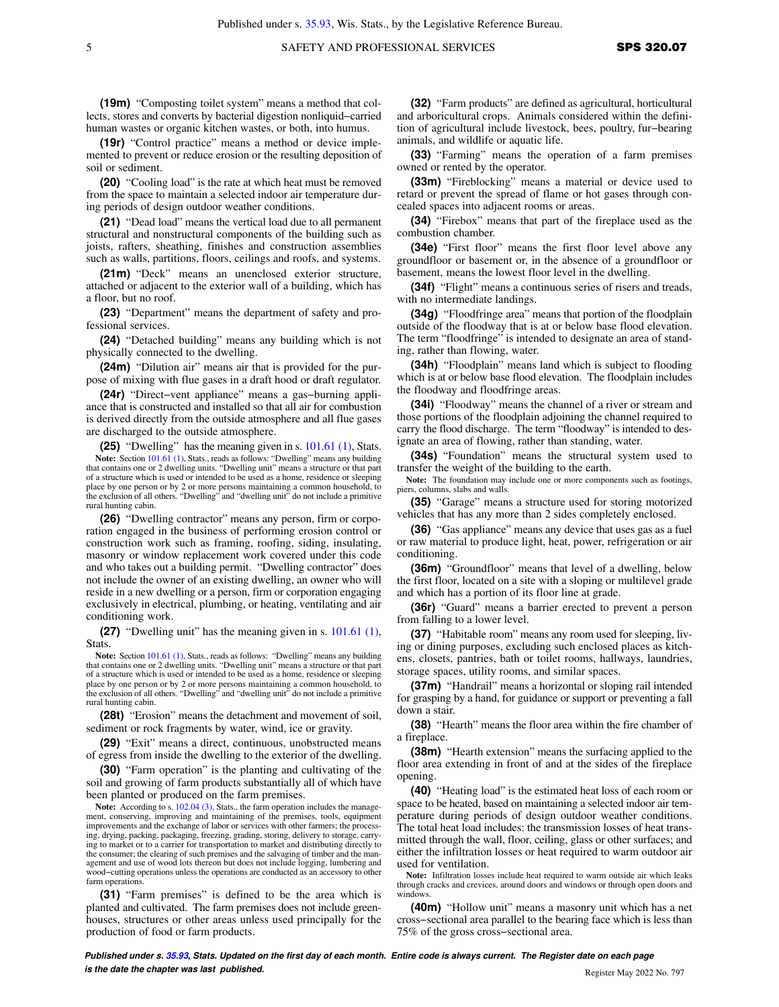**(19m)** "Composting toilet system" means a method that collects, stores and converts by bacterial digestion nonliquid−carried human wastes or organic kitchen wastes, or both, into humus.

**(19r)** "Control practice" means a method or device implemented to prevent or reduce erosion or the resulting deposition of soil or sediment.

**(20)** "Cooling load" is the rate at which heat must be removed from the space to maintain a selected indoor air temperature during periods of design outdoor weather conditions.

**(21)** "Dead load" means the vertical load due to all permanent structural and nonstructural components of the building such as joists, rafters, sheathing, finishes and construction assemblies such as walls, partitions, floors, ceilings and roofs, and systems.

**(21m)** "Deck" means an unenclosed exterior structure, attached or adjacent to the exterior wall of a building, which has a floor, but no roof.

**(23)** "Department" means the department of safety and professional services.

**(24)** "Detached building" means any building which is not physically connected to the dwelling.

**(24m)** "Dilution air" means air that is provided for the purpose of mixing with flue gases in a draft hood or draft regulator.

**(24r)** "Direct−vent appliance" means a gas−burning appliance that is constructed and installed so that all air for combustion is derived directly from the outside atmosphere and all flue gases are discharged to the outside atmosphere.

**(25)** "Dwelling" has the meaning given in s. [101.61 \(1\)](https://docs-preview.legis.wisconsin.gov/document/statutes/101.61(1)), Stats. Note: Section [101.61 \(1\),](https://docs-preview.legis.wisconsin.gov/document/statutes/101.61(1)) Stats., reads as follows: "Dwelling" means any building that contains one or 2 dwelling units. "Dwelling unit" means a structure or that part of a structure which is used or intended to be used as a home, residence or sleeping place by one person or by 2 or more persons maintaining a common household, to the exclusion of all others. "Dwelling" and "dwelling unit" do not include a primitive rural hunting cabin.

**(26)** "Dwelling contractor" means any person, firm or corporation engaged in the business of performing erosion control or construction work such as framing, roofing, siding, insulating, masonry or window replacement work covered under this code and who takes out a building permit. "Dwelling contractor" does not include the owner of an existing dwelling, an owner who will reside in a new dwelling or a person, firm or corporation engaging exclusively in electrical, plumbing, or heating, ventilating and air conditioning work.

**(27)** "Dwelling unit" has the meaning given in s. [101.61 \(1\),](https://docs-preview.legis.wisconsin.gov/document/statutes/101.61(1)) Stats.

Note: Section [101.61 \(1\)](https://docs-preview.legis.wisconsin.gov/document/statutes/101.61(1)), Stats., reads as follows: "Dwelling" means any building that contains one or 2 dwelling units. "Dwelling unit" means a structure or that part of a structure which is used or intended to be used as a home, residence or sleeping place by one person or by 2 or more persons maintaining a common household, to the exclusion of all others. "Dwelling" and "dwelling unit" do not include a primitive rural hunting cabin.

**(28t)** "Erosion" means the detachment and movement of soil, sediment or rock fragments by water, wind, ice or gravity.

**(29)** "Exit" means a direct, continuous, unobstructed means of egress from inside the dwelling to the exterior of the dwelling.

**(30)** "Farm operation" is the planting and cultivating of the soil and growing of farm products substantially all of which have been planted or produced on the farm premises.

Note: According to s. [102.04 \(3\),](https://docs-preview.legis.wisconsin.gov/document/statutes/102.04(3)) Stats., the farm operation includes the management, conserving, improving and maintaining of the premises, tools, equipment improvements and the exchange of labor or services with other farmers; the processing, drying, packing, packaging, freezing, grading, storing, delivery to storage, carrying to market or to a carrier for transportation to market and distributing directly to the consumer; the clearing of such premises and the salvaging of timber and the man-agement and use of wood lots thereon but does not include logging, lumbering and wood−cutting operations unless the operations are conducted as an accessory to other farm operations.

**(31)** "Farm premises" is defined to be the area which is planted and cultivated. The farm premises does not include greenhouses, structures or other areas unless used principally for the production of food or farm products.

**(32)** "Farm products" are defined as agricultural, horticultural and arboricultural crops. Animals considered within the definition of agricultural include livestock, bees, poultry, fur−bearing animals, and wildlife or aquatic life.

**(33)** "Farming" means the operation of a farm premises owned or rented by the operator.

**(33m)** "Fireblocking" means a material or device used to retard or prevent the spread of flame or hot gases through concealed spaces into adjacent rooms or areas.

**(34)** "Firebox" means that part of the fireplace used as the combustion chamber.

**(34e)** "First floor" means the first floor level above any groundfloor or basement or, in the absence of a groundfloor or basement, means the lowest floor level in the dwelling.

**(34f)** "Flight" means a continuous series of risers and treads, with no intermediate landings.

**(34g)** "Floodfringe area" means that portion of the floodplain outside of the floodway that is at or below base flood elevation. The term "floodfringe" is intended to designate an area of standing, rather than flowing, water.

**(34h)** "Floodplain" means land which is subject to flooding which is at or below base flood elevation. The floodplain includes the floodway and floodfringe areas.

**(34i)** "Floodway" means the channel of a river or stream and those portions of the floodplain adjoining the channel required to carry the flood discharge. The term "floodway" is intended to designate an area of flowing, rather than standing, water.

**(34s)** "Foundation" means the structural system used to transfer the weight of the building to the earth.

**Note:** The foundation may include one or more components such as footings, piers, columns, slabs and walls.

**(35)** "Garage" means a structure used for storing motorized vehicles that has any more than 2 sides completely enclosed.

**(36)** "Gas appliance" means any device that uses gas as a fuel or raw material to produce light, heat, power, refrigeration or air conditioning.

**(36m)** "Groundfloor" means that level of a dwelling, below the first floor, located on a site with a sloping or multilevel grade and which has a portion of its floor line at grade.

**(36r)** "Guard" means a barrier erected to prevent a person from falling to a lower level.

**(37)** "Habitable room" means any room used for sleeping, living or dining purposes, excluding such enclosed places as kitchens, closets, pantries, bath or toilet rooms, hallways, laundries, storage spaces, utility rooms, and similar spaces.

**(37m)** "Handrail" means a horizontal or sloping rail intended for grasping by a hand, for guidance or support or preventing a fall down a stair.

**(38)** "Hearth" means the floor area within the fire chamber of a fireplace.

**(38m)** "Hearth extension" means the surfacing applied to the floor area extending in front of and at the sides of the fireplace opening.

**(40)** "Heating load" is the estimated heat loss of each room or space to be heated, based on maintaining a selected indoor air temperature during periods of design outdoor weather conditions. The total heat load includes: the transmission losses of heat transmitted through the wall, floor, ceiling, glass or other surfaces; and either the infiltration losses or heat required to warm outdoor air used for ventilation.

**Note:** Infiltration losses include heat required to warm outside air which leaks through cracks and crevices, around doors and windows or through open doors and windows.

**(40m)** "Hollow unit" means a masonry unit which has a net cross−sectional area parallel to the bearing face which is less than 75% of the gross cross−sectional area.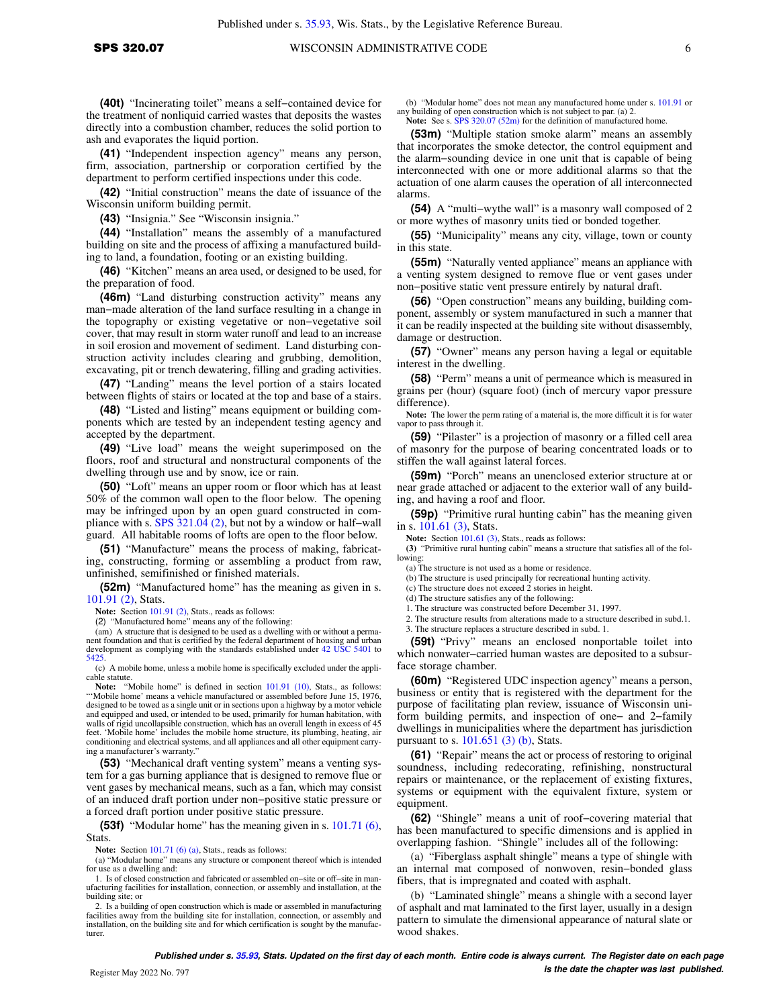**(41)** "Independent inspection agency" means any person, firm, association, partnership or corporation certified by the department to perform certified inspections under this code.

**(42)** "Initial construction" means the date of issuance of the Wisconsin uniform building permit.

**(43)** "Insignia." See "Wisconsin insignia."

**(44)** "Installation" means the assembly of a manufactured building on site and the process of affixing a manufactured building to land, a foundation, footing or an existing building.

**(46)** "Kitchen" means an area used, or designed to be used, for the preparation of food.

**(46m)** "Land disturbing construction activity" means any man−made alteration of the land surface resulting in a change in the topography or existing vegetative or non−vegetative soil cover, that may result in storm water runoff and lead to an increase in soil erosion and movement of sediment. Land disturbing construction activity includes clearing and grubbing, demolition, excavating, pit or trench dewatering, filling and grading activities.

**(47)** "Landing" means the level portion of a stairs located between flights of stairs or located at the top and base of a stairs.

**(48)** "Listed and listing" means equipment or building components which are tested by an independent testing agency and accepted by the department.

**(49)** "Live load" means the weight superimposed on the floors, roof and structural and nonstructural components of the dwelling through use and by snow, ice or rain.

**(50)** "Loft" means an upper room or floor which has at least 50% of the common wall open to the floor below. The opening may be infringed upon by an open guard constructed in compliance with s. [SPS 321.04 \(2\)](https://docs-preview.legis.wisconsin.gov/document/administrativecode/SPS%20321.04(2)), but not by a window or half−wall guard. All habitable rooms of lofts are open to the floor below.

**(51)** "Manufacture" means the process of making, fabricating, constructing, forming or assembling a product from raw, unfinished, semifinished or finished materials.

**(52m)** "Manufactured home" has the meaning as given in s. [101.91 \(2\),](https://docs-preview.legis.wisconsin.gov/document/statutes/101.91(2)) Stats.

Note: Section [101.91 \(2\),](https://docs-preview.legis.wisconsin.gov/document/statutes/101.91(2)) Stats., reads as follows:

(2) "Manufactured home" means any of the following:

(am) A structure that is designed to be used as a dwelling with or without a permanent foundation and that is certified by the federal department of housing and urban development as complying with the standards established under [42 USC 5401](https://docs-preview.legis.wisconsin.gov/document/usc/42%20USC%205401) to [5425.](https://docs-preview.legis.wisconsin.gov/document/usc/42%20USC%205425)

(c) A mobile home, unless a mobile home is specifically excluded under the applicable statute.

Note: "Mobile home" is defined in section [101.91 \(10\)](https://docs-preview.legis.wisconsin.gov/document/statutes/101.91(10)), Stats., as follows: "'Mobile home' means a vehicle manufactured or assembled before June 15, 1976, designed to be towed as a single unit or in sections upon a highway by a motor vehicle and equipped and used, or intended to be used, primarily for human habitation, with walls of rigid uncollapsible construction, which has an overall length in excess of 45 feet. 'Mobile home' includes the mobile home structure, its plumbing, heating, air conditioning and electrical systems, and all appliances and all other equipment carrying a manufacturer's warranty."

**(53)** "Mechanical draft venting system" means a venting system for a gas burning appliance that is designed to remove flue or vent gases by mechanical means, such as a fan, which may consist of an induced draft portion under non−positive static pressure or a forced draft portion under positive static pressure.

**(53f)** "Modular home" has the meaning given in s. [101.71 \(6\),](https://docs-preview.legis.wisconsin.gov/document/statutes/101.71(6)) Stats.

**Note:** Section [101.71 \(6\) \(a\)](https://docs-preview.legis.wisconsin.gov/document/statutes/101.71(6)(a)), Stats., reads as follows:

(a) "Modular home" means any structure or component thereof which is intended for use as a dwelling and:

1. Is of closed construction and fabricated or assembled on−site or off−site in manufacturing facilities for installation, connection, or assembly and installation, at the building site; or

2. Is a building of open construction which is made or assembled in manufacturing facilities away from the building site for installation, connection, or assembly and installation, on the building site and for which certification is sought by the manufacturer.

(b) "Modular home" does not mean any manufactured home under s. [101.91](https://docs-preview.legis.wisconsin.gov/document/statutes/101.91) or any building of open construction which is not subject to par. (a) 2. Note: See s. [SPS 320.07 \(52m\)](https://docs-preview.legis.wisconsin.gov/document/administrativecode/SPS%20320.07(52m)) for the definition of manufactured home.

**(53m)** "Multiple station smoke alarm" means an assembly

that incorporates the smoke detector, the control equipment and the alarm−sounding device in one unit that is capable of being interconnected with one or more additional alarms so that the actuation of one alarm causes the operation of all interconnected alarms.

**(54)** A "multi−wythe wall" is a masonry wall composed of 2 or more wythes of masonry units tied or bonded together.

**(55)** "Municipality" means any city, village, town or county in this state.

**(55m)** "Naturally vented appliance" means an appliance with a venting system designed to remove flue or vent gases under non−positive static vent pressure entirely by natural draft.

**(56)** "Open construction" means any building, building component, assembly or system manufactured in such a manner that it can be readily inspected at the building site without disassembly, damage or destruction.

**(57)** "Owner" means any person having a legal or equitable interest in the dwelling.

**(58)** "Perm" means a unit of permeance which is measured in grains per (hour) (square foot) (inch of mercury vapor pressure difference).

**Note:** The lower the perm rating of a material is, the more difficult it is for water vapor to pass through it.

**(59)** "Pilaster" is a projection of masonry or a filled cell area of masonry for the purpose of bearing concentrated loads or to stiffen the wall against lateral forces.

**(59m)** "Porch" means an unenclosed exterior structure at or near grade attached or adjacent to the exterior wall of any building, and having a roof and floor.

**(59p)** "Primitive rural hunting cabin" has the meaning given in s. [101.61 \(3\)](https://docs-preview.legis.wisconsin.gov/document/statutes/101.61(3)), Stats.

Note: Section [101.61 \(3\)](https://docs-preview.legis.wisconsin.gov/document/statutes/101.61(3)), Stats., reads as follows:

**(3)** "Primitive rural hunting cabin" means a structure that satisfies all of the following:

(a) The structure is not used as a home or residence.

(b) The structure is used principally for recreational hunting activity.

(c) The structure does not exceed 2 stories in height.

(d) The structure satisfies any of the following: 1. The structure was constructed before December 31, 1997.

2. The structure results from alterations made to a structure described in subd.1.

3. The structure replaces a structure described in subd. 1.

**(59t)** "Privy" means an enclosed nonportable toilet into which nonwater−carried human wastes are deposited to a subsurface storage chamber.

**(60m)** "Registered UDC inspection agency" means a person, business or entity that is registered with the department for the purpose of facilitating plan review, issuance of Wisconsin uniform building permits, and inspection of one− and 2−family dwellings in municipalities where the department has jurisdiction pursuant to s. [101.651 \(3\) \(b\),](https://docs-preview.legis.wisconsin.gov/document/statutes/101.651(3)(b)) Stats.

**(61)** "Repair" means the act or process of restoring to original soundness, including redecorating, refinishing, nonstructural repairs or maintenance, or the replacement of existing fixtures, systems or equipment with the equivalent fixture, system or equipment.

**(62)** "Shingle" means a unit of roof−covering material that has been manufactured to specific dimensions and is applied in overlapping fashion. "Shingle" includes all of the following:

(a) "Fiberglass asphalt shingle" means a type of shingle with an internal mat composed of nonwoven, resin−bonded glass fibers, that is impregnated and coated with asphalt.

(b) "Laminated shingle" means a shingle with a second layer of asphalt and mat laminated to the first layer, usually in a design pattern to simulate the dimensional appearance of natural slate or wood shakes.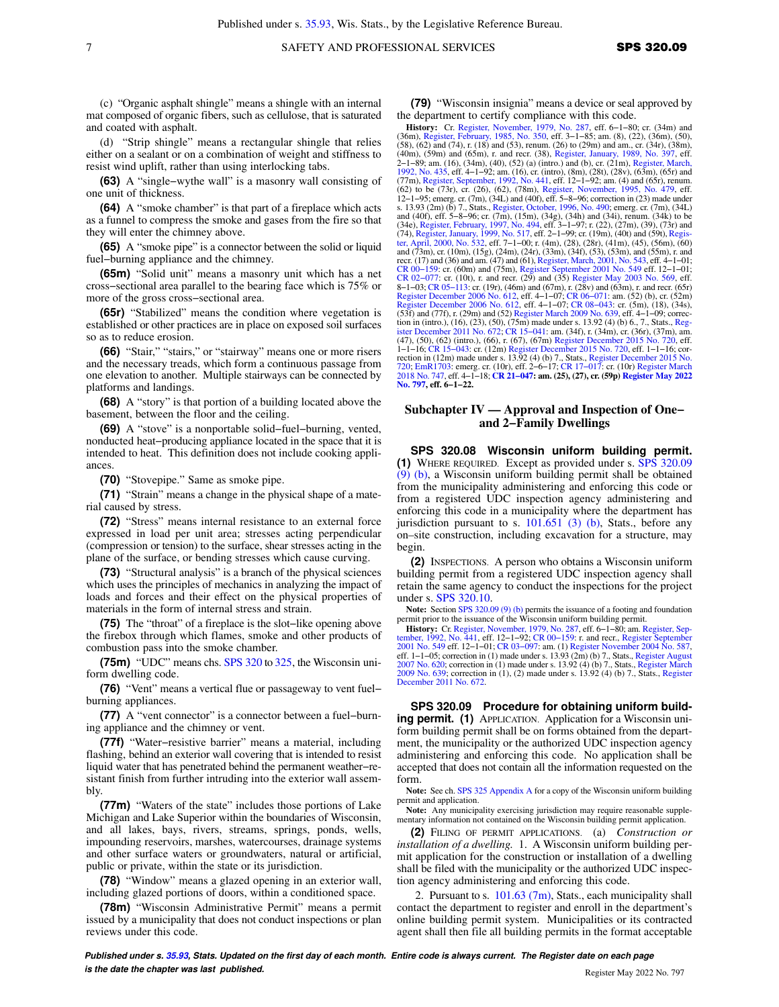(c) "Organic asphalt shingle" means a shingle with an internal mat composed of organic fibers, such as cellulose, that is saturated and coated with asphalt.

(d) "Strip shingle" means a rectangular shingle that relies either on a sealant or on a combination of weight and stiffness to resist wind uplift, rather than using interlocking tabs.

**(63)** A "single−wythe wall" is a masonry wall consisting of one unit of thickness.

**(64)** A "smoke chamber" is that part of a fireplace which acts as a funnel to compress the smoke and gases from the fire so that they will enter the chimney above.

**(65)** A "smoke pipe" is a connector between the solid or liquid fuel−burning appliance and the chimney.

**(65m)** "Solid unit" means a masonry unit which has a net cross−sectional area parallel to the bearing face which is 75% or more of the gross cross−sectional area.

**(65r)** "Stabilized" means the condition where vegetation is established or other practices are in place on exposed soil surfaces so as to reduce erosion.

**(66)** "Stair," "stairs," or "stairway" means one or more risers and the necessary treads, which form a continuous passage from one elevation to another. Multiple stairways can be connected by platforms and landings.

**(68)** A "story" is that portion of a building located above the basement, between the floor and the ceiling.

**(69)** A "stove" is a nonportable solid−fuel−burning, vented, nonducted heat−producing appliance located in the space that it is intended to heat. This definition does not include cooking appliances.

**(70)** "Stovepipe." Same as smoke pipe.

**(71)** "Strain" means a change in the physical shape of a material caused by stress.

**(72)** "Stress" means internal resistance to an external force expressed in load per unit area; stresses acting perpendicular (compression or tension) to the surface, shear stresses acting in the plane of the surface, or bending stresses which cause curving.

**(73)** "Structural analysis" is a branch of the physical sciences which uses the principles of mechanics in analyzing the impact of loads and forces and their effect on the physical properties of materials in the form of internal stress and strain.

**(75)** The "throat" of a fireplace is the slot−like opening above the firebox through which flames, smoke and other products of combustion pass into the smoke chamber.

**(75m)** "UDC" means chs. [SPS 320](https://docs-preview.legis.wisconsin.gov/document/administrativecode/ch.%20SPS%20320) to [325,](https://docs-preview.legis.wisconsin.gov/document/administrativecode/ch.%20SPS%20325) the Wisconsin uniform dwelling code.

**(76)** "Vent" means a vertical flue or passageway to vent fuel− burning appliances.

**(77)** A "vent connector" is a connector between a fuel−burning appliance and the chimney or vent.

**(77f)** "Water−resistive barrier" means a material, including flashing, behind an exterior wall covering that is intended to resist liquid water that has penetrated behind the permanent weather−resistant finish from further intruding into the exterior wall assembly.

**(77m)** "Waters of the state" includes those portions of Lake Michigan and Lake Superior within the boundaries of Wisconsin, and all lakes, bays, rivers, streams, springs, ponds, wells, impounding reservoirs, marshes, watercourses, drainage systems and other surface waters or groundwaters, natural or artificial, public or private, within the state or its jurisdiction.

**(78)** "Window" means a glazed opening in an exterior wall, including glazed portions of doors, within a conditioned space.

**(78m)** "Wisconsin Administrative Permit" means a permit issued by a municipality that does not conduct inspections or plan reviews under this code.

**(79)** "Wisconsin insignia" means a device or seal approved by the department to certify compliance with this code.

**History:** Cr. [Register, November, 1979, No. 287](https://docs-preview.legis.wisconsin.gov/document/register/287/B/toc), eff. 6–1–80; cr. (34m) and (36m), [Register, February, 1985, No. 350,](https://docs-preview.legis.wisconsin.gov/document/register/350/B/toc) eff. 3–1–85; am. (8), (22), (36m), (50), (50), (50), (50), (50), (50), (50), (50), (50), (50), (50), (5 (40m), (59m) and (65m), r. and recr. (38), [Register, January, 1989, No. 397,](https://docs-preview.legis.wisconsin.gov/document/register/397/B/toc) eff.<br>2–1–89; am. (16), (34m), (40), (52) (a) (intro.) and (b), cr. (21m), [Register, March,](https://docs-preview.legis.wisconsin.gov/document/register/435/B/toc)<br>[1992, No. 435,](https://docs-preview.legis.wisconsin.gov/document/register/435/B/toc) eff. 4–1–92; am. (16), cr. (intro), (8m (77m), [Register, September, 1992, No. 441,](https://docs-preview.legis.wisconsin.gov/document/register/441/B/toc) eff. 12−1−92; am. (4) and (65r), renum. (62) to be (73r), cr. (26), (62), (78m), [Register, November, 1995, No. 479](https://docs-preview.legis.wisconsin.gov/document/register/479/B/toc), eff. 12−1−95; emerg. cr. (7m), (34L) and (40f), eff. 5−8−96; correction in (23) made under s. 13.93 (2m) (b) 7., Stats., [Register, October, 1996, No. 490](https://docs-preview.legis.wisconsin.gov/document/register/490/B/toc); emerg. cr. (7m), (34L) and (40f), eff. 5–9–96; cr. (7m), (15m), (15m), (44g), (34h) and (34i), renum. (34k) to be (34e), [Register, February, 1997, No. 494](https://docs-preview.legis.wisconsin.gov/document/register/494/B/toc), ef recr. (17) and (36) and am. (47) and (61), [Register, March, 2001, No. 543](https://docs-preview.legis.wisconsin.gov/document/register/543/B/toc), eff. 4–1–01;<br>CR 00–159: cr. (60m) and (75m), [Register September 2001 No. 549](https://docs-preview.legis.wisconsin.gov/document/register/549/B/toc) eff. 12–1–01;<br>CR 02–077: cr. (10t), r. and recr. (29) and (35) Registe [Register December 2006 No. 612](https://docs-preview.legis.wisconsin.gov/document/register/612/B/toc), eff. 4–1–07; CR 08–043: cr. (5m), (18), (34s),<br>(53f) and (77f), r. (29m) and (52) [Register March 2009 No. 639](https://docs-preview.legis.wisconsin.gov/document/register/639/B/toc), eff. 4–1–09; correc-<br>tion in (intro.), (16), (23), (50), (75m) made under s. 13 [ister December 2011 No. 672;](https://docs-preview.legis.wisconsin.gov/document/register/672/B/toc) CR 15–041: am. (34f), r. (34m), cr. (36r), (37m), am.<br>(47), (50), (62) (intro.), (66), r. (67), (67m) [Register December 2015 No. 720](https://docs-preview.legis.wisconsin.gov/document/register/720/B/toc), eff.<br>1–1–16; CR 15–043: cr. (12m) Register December 2015 No rection in (12m) made under s. 13.92 (4) (b) 7., Stats., [Register December 2015 No.](https://docs-preview.legis.wisconsin.gov/document/register/720/B/toc)<br>[720;](https://docs-preview.legis.wisconsin.gov/document/register/720/B/toc) [EmR1703:](https://docs-preview.legis.wisconsin.gov/document/emergencyrules/EmR1703) emerg. cr. (10r.), eff. 2<del>–6–</del>17; CR 17–017; cr. (10r) [Register March](https://docs-preview.legis.wisconsin.gov/document/register/747/B/toc)<br>[2018 No. 747](https://docs-preview.legis.wisconsin.gov/document/register/747/B/toc), eff. 4–1–18; C**R 21–047: am. (25), (27), [No. 797,](https://docs-preview.legis.wisconsin.gov/document/register/797/B/toc) eff. 6−1−22.**

#### **Subchapter IV — Approval and Inspection of One− and 2−Family Dwellings**

**SPS 320.08 Wisconsin uniform building permit. (1)** WHERE REQUIRED. Except as provided under s. [SPS 320.09](https://docs-preview.legis.wisconsin.gov/document/administrativecode/SPS%20320.09(9)(b)) [\(9\) \(b\)](https://docs-preview.legis.wisconsin.gov/document/administrativecode/SPS%20320.09(9)(b)), a Wisconsin uniform building permit shall be obtained from the municipality administering and enforcing this code or from a registered UDC inspection agency administering and enforcing this code in a municipality where the department has jurisdiction pursuant to s.  $101.651$  (3) (b), Stats., before any on–site construction, including excavation for a structure, may begin.

**(2)** INSPECTIONS. A person who obtains a Wisconsin uniform building permit from a registered UDC inspection agency shall retain the same agency to conduct the inspections for the project under s. [SPS 320.10](https://docs-preview.legis.wisconsin.gov/document/administrativecode/SPS%20320.10).

Note: Section [SPS 320.09 \(9\) \(b\)](https://docs-preview.legis.wisconsin.gov/document/administrativecode/SPS%20320.09(9)(b)) permits the issuance of a footing and foundation permit prior to the issuance of the Wisconsin uniform building permit.

**History:** Cr. [Register, November, 1979, No. 287,](https://docs-preview.legis.wisconsin.gov/document/register/287/B/toc) eff. 6–1–80; am. Register, Sep-<br>[tember, 1992, No. 441,](https://docs-preview.legis.wisconsin.gov/document/register/441/B/toc) eff. 12–1–92; CR 00–159: r. and recr., [Register September](https://docs-preview.legis.wisconsin.gov/document/register/549/B/toc)<br>[2001 No. 549](https://docs-preview.legis.wisconsin.gov/document/register/549/B/toc) eff. 12–1–01; CR 03–097: am. (1) Register Nove eff. 1−1−05; correction in (1) made under s. 13.93 (2m) (b) 7., Stats., [Register August](https://docs-preview.legis.wisconsin.gov/document/register/620/B/toc) [2007 No. 620;](https://docs-preview.legis.wisconsin.gov/document/register/620/B/toc) correction in (1) made under s. 13.92 (4) (b) 7., Stats., [Register March](https://docs-preview.legis.wisconsin.gov/document/register/639/B/toc) [2009 No. 639;](https://docs-preview.legis.wisconsin.gov/document/register/639/B/toc) correction in (1), (2) made under s. 13.92 (4) (b) 7., Stats., [Register](https://docs-preview.legis.wisconsin.gov/document/register/672/B/toc) [December 2011 No. 672.](https://docs-preview.legis.wisconsin.gov/document/register/672/B/toc)

**SPS 320.09 Procedure for obtaining uniform building permit. (1)** APPLICATION. Application for a Wisconsin uniform building permit shall be on forms obtained from the department, the municipality or the authorized UDC inspection agency administering and enforcing this code. No application shall be accepted that does not contain all the information requested on the form.

**Note:** See ch. [SPS 325 Appendix A](https://docs-preview.legis.wisconsin.gov/document/administrativecode/ch.%20SPS%20325%20Appendix%20A) for a copy of the Wisconsin uniform building permit and application.

**Note:** Any municipality exercising jurisdiction may require reasonable supple-mentary information not contained on the Wisconsin building permit application.

**(2)** FILING OF PERMIT APPLICATIONS. (a) *Construction or installation of a dwelling.* 1. A Wisconsin uniform building permit application for the construction or installation of a dwelling shall be filed with the municipality or the authorized UDC inspection agency administering and enforcing this code.

2. Pursuant to s. [101.63 \(7m\)](https://docs-preview.legis.wisconsin.gov/document/statutes/101.63(7m)), Stats., each municipality shall contact the department to register and enroll in the department's online building permit system. Municipalities or its contracted agent shall then file all building permits in the format acceptable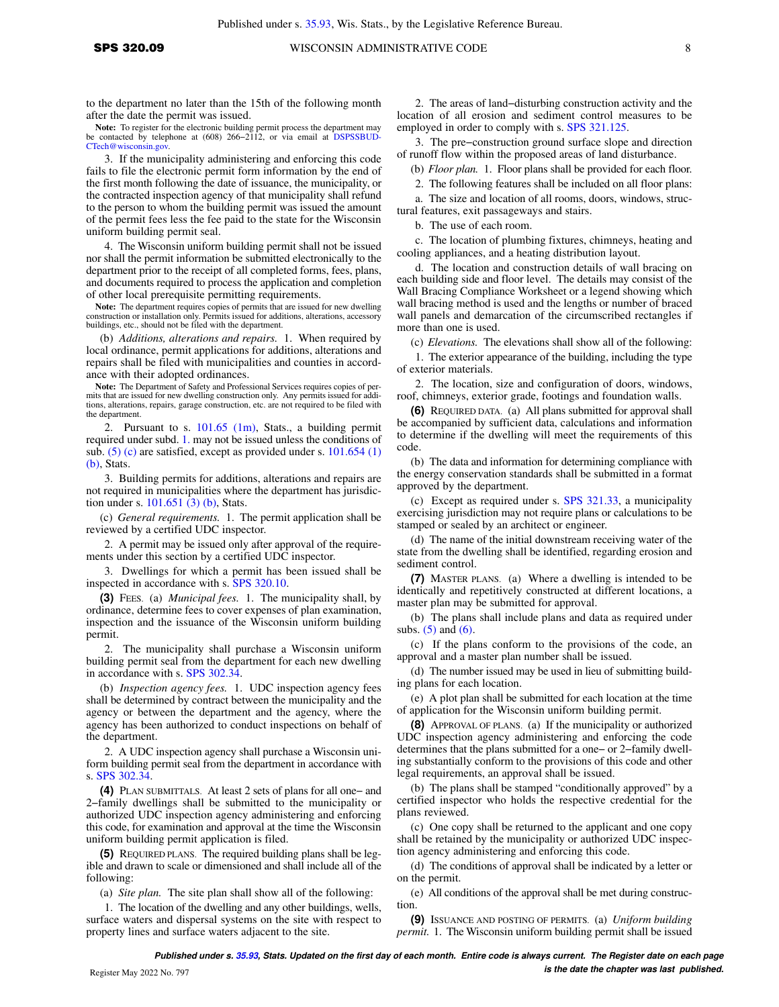to the department no later than the 15th of the following month after the date the permit was issued.

Note: To register for the electronic building permit process the department may be contacted by telephone at (608) 266−2112, or via email at [DSPSSBUD-](mailto:DSPSSBUDCTech@wisconsin.gov)[CTech@wisconsin.gov.](mailto:DSPSSBUDCTech@wisconsin.gov)

3. If the municipality administering and enforcing this code fails to file the electronic permit form information by the end of the first month following the date of issuance, the municipality, or the contracted inspection agency of that municipality shall refund to the person to whom the building permit was issued the amount of the permit fees less the fee paid to the state for the Wisconsin uniform building permit seal.

4. The Wisconsin uniform building permit shall not be issued nor shall the permit information be submitted electronically to the department prior to the receipt of all completed forms, fees, plans, and documents required to process the application and completion of other local prerequisite permitting requirements.

**Note:** The department requires copies of permits that are issued for new dwelling construction or installation only. Permits issued for additions, alterations, accessory buildings, etc., should not be filed with the department.

(b) *Additions, alterations and repairs.* 1. When required by local ordinance, permit applications for additions, alterations and repairs shall be filed with municipalities and counties in accordance with their adopted ordinances.

**Note:** The Department of Safety and Professional Services requires copies of permits that are issued for new dwelling construction only. Any permits issued for additions, alterations, repairs, garage construction, etc. are not required to be filed with the department.

2. Pursuant to s. [101.65 \(1m\)](https://docs-preview.legis.wisconsin.gov/document/statutes/101.65(1m)), Stats., a building permit required under subd. [1.](https://docs-preview.legis.wisconsin.gov/document/administrativecode/SPS%20320.09(2)(b)1.) may not be issued unless the conditions of sub.  $(5)$  (c) are satisfied, except as provided under s. [101.654 \(1\)](https://docs-preview.legis.wisconsin.gov/document/statutes/101.654(1)(b)) [\(b\)](https://docs-preview.legis.wisconsin.gov/document/statutes/101.654(1)(b)), Stats.

3. Building permits for additions, alterations and repairs are not required in municipalities where the department has jurisdiction under s. [101.651 \(3\) \(b\)](https://docs-preview.legis.wisconsin.gov/document/statutes/101.651(3)(b)), Stats.

(c) *General requirements.* 1. The permit application shall be reviewed by a certified UDC inspector.

2. A permit may be issued only after approval of the requirements under this section by a certified UDC inspector.

3. Dwellings for which a permit has been issued shall be inspected in accordance with s. [SPS 320.10](https://docs-preview.legis.wisconsin.gov/document/administrativecode/SPS%20320.10).

**(3)** FEES. (a) *Municipal fees.* 1. The municipality shall, by ordinance, determine fees to cover expenses of plan examination, inspection and the issuance of the Wisconsin uniform building permit.

2. The municipality shall purchase a Wisconsin uniform building permit seal from the department for each new dwelling in accordance with s. [SPS 302.34.](https://docs-preview.legis.wisconsin.gov/document/administrativecode/SPS%20302.34)

(b) *Inspection agency fees.* 1. UDC inspection agency fees shall be determined by contract between the municipality and the agency or between the department and the agency, where the agency has been authorized to conduct inspections on behalf of the department.

2. A UDC inspection agency shall purchase a Wisconsin uniform building permit seal from the department in accordance with s. [SPS 302.34.](https://docs-preview.legis.wisconsin.gov/document/administrativecode/SPS%20302.34)

**(4)** PLAN SUBMITTALS. At least 2 sets of plans for all one− and 2−family dwellings shall be submitted to the municipality or authorized UDC inspection agency administering and enforcing this code, for examination and approval at the time the Wisconsin uniform building permit application is filed.

**(5)** REQUIRED PLANS. The required building plans shall be legible and drawn to scale or dimensioned and shall include all of the following:

(a) *Site plan.* The site plan shall show all of the following:

1. The location of the dwelling and any other buildings, wells, surface waters and dispersal systems on the site with respect to property lines and surface waters adjacent to the site.

2. The areas of land−disturbing construction activity and the location of all erosion and sediment control measures to be employed in order to comply with s. [SPS 321.125.](https://docs-preview.legis.wisconsin.gov/document/administrativecode/SPS%20321.125)

3. The pre−construction ground surface slope and direction of runoff flow within the proposed areas of land disturbance.

(b) *Floor plan.* 1. Floor plans shall be provided for each floor.

2. The following features shall be included on all floor plans:

a. The size and location of all rooms, doors, windows, structural features, exit passageways and stairs.

b. The use of each room.

c. The location of plumbing fixtures, chimneys, heating and cooling appliances, and a heating distribution layout.

d. The location and construction details of wall bracing on each building side and floor level. The details may consist of the Wall Bracing Compliance Worksheet or a legend showing which wall bracing method is used and the lengths or number of braced wall panels and demarcation of the circumscribed rectangles if more than one is used.

(c) *Elevations.* The elevations shall show all of the following:

1. The exterior appearance of the building, including the type of exterior materials.

2. The location, size and configuration of doors, windows, roof, chimneys, exterior grade, footings and foundation walls.

**(6)** REQUIRED DATA. (a) All plans submitted for approval shall be accompanied by sufficient data, calculations and information to determine if the dwelling will meet the requirements of this code.

(b) The data and information for determining compliance with the energy conservation standards shall be submitted in a format approved by the department.

(c) Except as required under s. [SPS 321.33](https://docs-preview.legis.wisconsin.gov/document/administrativecode/SPS%20321.33), a municipality exercising jurisdiction may not require plans or calculations to be stamped or sealed by an architect or engineer.

(d) The name of the initial downstream receiving water of the state from the dwelling shall be identified, regarding erosion and sediment control.

**(7)** MASTER PLANS. (a) Where a dwelling is intended to be identically and repetitively constructed at different locations, a master plan may be submitted for approval.

(b) The plans shall include plans and data as required under subs.  $(5)$  and  $(6)$ .

(c) If the plans conform to the provisions of the code, an approval and a master plan number shall be issued.

(d) The number issued may be used in lieu of submitting building plans for each location.

(e) A plot plan shall be submitted for each location at the time of application for the Wisconsin uniform building permit.

**(8)** APPROVAL OF PLANS. (a) If the municipality or authorized UDC inspection agency administering and enforcing the code determines that the plans submitted for a one− or 2−family dwelling substantially conform to the provisions of this code and other legal requirements, an approval shall be issued.

(b) The plans shall be stamped "conditionally approved" by a certified inspector who holds the respective credential for the plans reviewed.

(c) One copy shall be returned to the applicant and one copy shall be retained by the municipality or authorized UDC inspection agency administering and enforcing this code.

(d) The conditions of approval shall be indicated by a letter or on the permit.

(e) All conditions of the approval shall be met during construction.

**(9)** ISSUANCE AND POSTING OF PERMITS. (a) *Uniform building permit.* 1. The Wisconsin uniform building permit shall be issued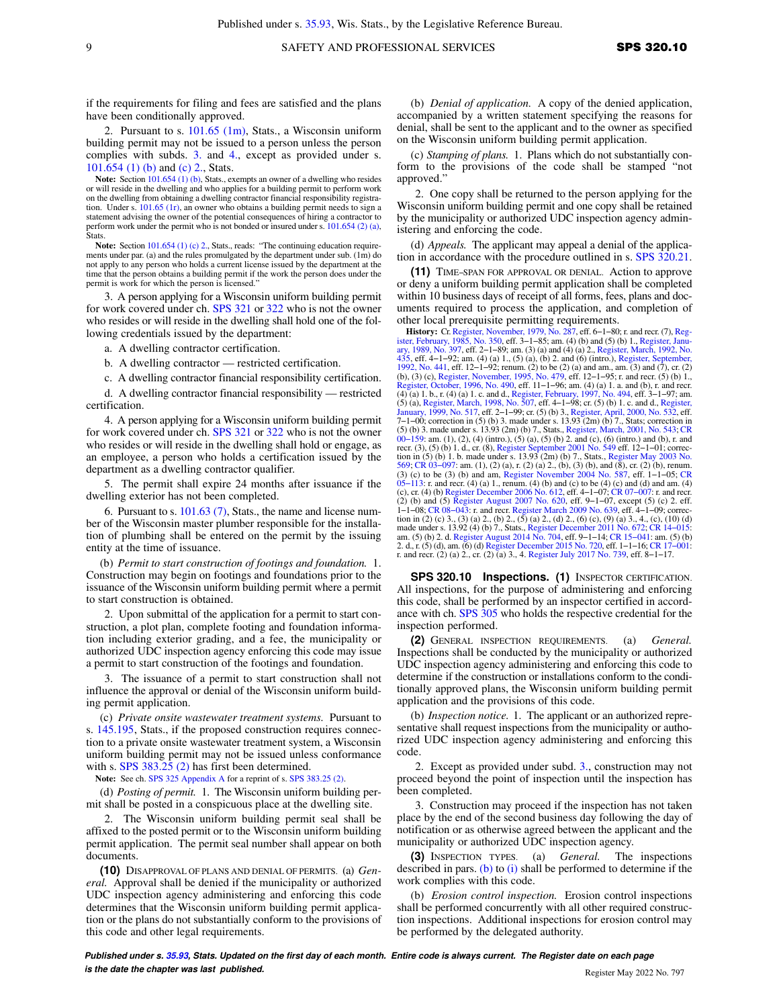if the requirements for filing and fees are satisfied and the plans have been conditionally approved.

2. Pursuant to s. [101.65 \(1m\)](https://docs-preview.legis.wisconsin.gov/document/statutes/101.65(1m)), Stats., a Wisconsin uniform building permit may not be issued to a person unless the person complies with subds. [3.](https://docs-preview.legis.wisconsin.gov/document/administrativecode/SPS%20320.09(9)(a)3.) and [4.](https://docs-preview.legis.wisconsin.gov/document/administrativecode/SPS%20320.09(9)(a)4.), except as provided under s. [101.654 \(1\) \(b\)](https://docs-preview.legis.wisconsin.gov/document/statutes/101.654(1)(b)) and [\(c\) 2.,](https://docs-preview.legis.wisconsin.gov/document/statutes/101.654(1)(c)2.) Stats.

**Note:** Section [101.654 \(1\) \(b\),](https://docs-preview.legis.wisconsin.gov/document/statutes/101.654(1)(b)) Stats., exempts an owner of a dwelling who resides or will reside in the dwelling and who applies for a building permit to perform work on the dwelling from obtaining a dwelling contractor financial responsibility registration. Under s. [101.65 \(1r\)](https://docs-preview.legis.wisconsin.gov/document/statutes/101.65(1r)), an owner who obtains a building permit needs to sign a statement advising the owner of the potential consequences of hiring a contractor to perform work under the permit who is not bonded or insured under s. [101.654 \(2\) \(a\)](https://docs-preview.legis.wisconsin.gov/document/statutes/101.654(2)(a)), **Stats** 

Note: Section [101.654 \(1\) \(c\) 2.](https://docs-preview.legis.wisconsin.gov/document/statutes/101.654(1)(c)2.), Stats., reads: "The continuing education requirements under par. (a) and the rules promulgated by the department under sub. (1m) do not apply to any person who holds a current license issued by the department at the time that the person obtains a building permit if the work the person does under the permit is work for which the person is licensed."

3. A person applying for a Wisconsin uniform building permit for work covered under ch. [SPS 321](https://docs-preview.legis.wisconsin.gov/document/administrativecode/ch.%20SPS%20321) or [322](https://docs-preview.legis.wisconsin.gov/document/administrativecode/ch.%20SPS%20322) who is not the owner who resides or will reside in the dwelling shall hold one of the following credentials issued by the department:

a. A dwelling contractor certification.

b. A dwelling contractor — restricted certification.

c. A dwelling contractor financial responsibility certification.

d. A dwelling contractor financial responsibility — restricted certification.

4. A person applying for a Wisconsin uniform building permit for work covered under ch. [SPS 321](https://docs-preview.legis.wisconsin.gov/document/administrativecode/ch.%20SPS%20321) or [322](https://docs-preview.legis.wisconsin.gov/document/administrativecode/ch.%20SPS%20322) who is not the owner who resides or will reside in the dwelling shall hold or engage, as an employee, a person who holds a certification issued by the department as a dwelling contractor qualifier.

5. The permit shall expire 24 months after issuance if the dwelling exterior has not been completed.

6. Pursuant to s. [101.63 \(7\)](https://docs-preview.legis.wisconsin.gov/document/statutes/101.63(7)), Stats., the name and license number of the Wisconsin master plumber responsible for the installation of plumbing shall be entered on the permit by the issuing entity at the time of issuance.

(b) *Permit to start construction of footings and foundation.* 1. Construction may begin on footings and foundations prior to the issuance of the Wisconsin uniform building permit where a permit to start construction is obtained.

2. Upon submittal of the application for a permit to start construction, a plot plan, complete footing and foundation information including exterior grading, and a fee, the municipality or authorized UDC inspection agency enforcing this code may issue a permit to start construction of the footings and foundation.

3. The issuance of a permit to start construction shall not influence the approval or denial of the Wisconsin uniform building permit application.

(c) *Private onsite wastewater treatment systems.* Pursuant to s. [145.195,](https://docs-preview.legis.wisconsin.gov/document/statutes/145.195) Stats., if the proposed construction requires connection to a private onsite wastewater treatment system, a Wisconsin uniform building permit may not be issued unless conformance with s. [SPS 383.25 \(2\)](https://docs-preview.legis.wisconsin.gov/document/administrativecode/SPS%20383.25(2)) has first been determined.

**Note:** See ch. [SPS 325 Appendix A](https://docs-preview.legis.wisconsin.gov/document/administrativecode/ch.%20SPS%20325%20Appendix%20A) for a reprint of s. [SPS 383.25 \(2\)](https://docs-preview.legis.wisconsin.gov/document/administrativecode/SPS%20383.25(2)).

(d) *Posting of permit.* 1. The Wisconsin uniform building permit shall be posted in a conspicuous place at the dwelling site.

2. The Wisconsin uniform building permit seal shall be affixed to the posted permit or to the Wisconsin uniform building permit application. The permit seal number shall appear on both documents.

**(10)** DISAPPROVAL OF PLANS AND DENIAL OF PERMITS. (a) *General.* Approval shall be denied if the municipality or authorized UDC inspection agency administering and enforcing this code determines that the Wisconsin uniform building permit application or the plans do not substantially conform to the provisions of this code and other legal requirements.

(b) *Denial of application.* A copy of the denied application, accompanied by a written statement specifying the reasons for denial, shall be sent to the applicant and to the owner as specified on the Wisconsin uniform building permit application.

(c) *Stamping of plans.* 1. Plans which do not substantially conform to the provisions of the code shall be stamped "not approved."

2. One copy shall be returned to the person applying for the Wisconsin uniform building permit and one copy shall be retained by the municipality or authorized UDC inspection agency administering and enforcing the code.

(d) *Appeals.* The applicant may appeal a denial of the application in accordance with the procedure outlined in s. [SPS 320.21.](https://docs-preview.legis.wisconsin.gov/document/administrativecode/SPS%20320.21)

**(11)** TIME−SPAN FOR APPROVAL OR DENIAL. Action to approve or deny a uniform building permit application shall be completed within 10 business days of receipt of all forms, fees, plans and documents required to process the application, and completion of other local prerequisite permitting requirements.

**History:** Cr. [Register, November, 1979, No. 287,](https://docs-preview.legis.wisconsin.gov/document/register/287/B/toc) eff. 6–1–80; r. and recr. (7), Reg[ister, February, 1985, No. 350,](https://docs-preview.legis.wisconsin.gov/document/register/350/B/toc) eff. 3-1–85; ann. (4) (b) and (5) locater, Janu-<br>ister, February, 1985, No. 350, eff. 3–1–85; am. (3) (a) [435,](https://docs-preview.legis.wisconsin.gov/document/register/435/B/toc) eff. 4–1–92; am. (4) (a) 1., (5) (a), (b) 2. and (6) (intro.), [Register, September,](https://docs-preview.legis.wisconsin.gov/document/register/441/B/toc) [1992, No. 441,](https://docs-preview.legis.wisconsin.gov/document/register/441/B/toc) eff. 12–1–92; renum. (2) to be (2) (a) and am., am. (3) and (7), cr. (2) (b), (3) (c), Register, November, 1995, No. (4) (a) 1. b., r. (4) (a) 1. c. and d., [Register, February, 1997, No. 494,](https://docs-preview.legis.wisconsin.gov/document/register/494/B/toc) eff. 3–1–97; am.<br>(5) (a), [Register, March, 1998, No. 507](https://docs-preview.legis.wisconsin.gov/document/register/507/B/toc), eff. 4–1–98; cr. (5) (b) 1. c. and d., [Register,](https://docs-preview.legis.wisconsin.gov/document/register/517/B/toc)<br>[January, 1999, No. 517,](https://docs-preview.legis.wisconsin.gov/document/register/517/B/toc) eff. 2–1–99; cr. 7−1−00; correction in (5) (b) 3. made under s. 13.93 (2m) (b) 7., Stats; correction in (5) (b) 3. made under s. 13.93 (2m) (b) 7., Stats., [Register, March, 2001, No. 543;](https://docs-preview.legis.wisconsin.gov/document/register/543/B/toc) [CR](https://docs-preview.legis.wisconsin.gov/document/cr/2000/159) [00−159](https://docs-preview.legis.wisconsin.gov/document/cr/2000/159): am. (1), (2), (4) (intro.), (5) (a), (5) (b) 2. and (c), (6) (intro.) and (b), r. and recr. (3), (5) (b) 1. d., cr. (8), [Register September 2001 No. 549](https://docs-preview.legis.wisconsin.gov/document/register/549/B/toc) eff. 12−1−01; correc-tion in (5) (b) 1. b. made under s. 13.93 (2m) (b) 7., Stats., [Register May 2003 No.](https://docs-preview.legis.wisconsin.gov/document/register/569/B/toc) [569;](https://docs-preview.legis.wisconsin.gov/document/register/569/B/toc) [CR 03−097](https://docs-preview.legis.wisconsin.gov/document/cr/2003/97): am. (1), (2) (a), r. (2) (a) 2., (b), (3) (b), and (8), cr. (2) (b), renum. (3) (c) to be (3) (b) and am, [Register November 2004 No. 587,](https://docs-preview.legis.wisconsin.gov/document/register/587/B/toc) eff. 1-1-05; [CR](https://docs-preview.legis.wisconsin.gov/document/cr/2005/113) 05-113: r. and recr. (4) (a) 1., renum. (4) (b) and (c) to be (4) (c) and (d) and am. (4) (c), cr. (4) (b) (Register December 2006 No. 612, eff made under s. 13.92 (4) (b) 7., Stats., [Register December 2011 No. 672](https://docs-preview.legis.wisconsin.gov/document/register/672/B/toc); CR 14–015:<br>am. (5) (b) 2. d. [Register August 2014 No. 704](https://docs-preview.legis.wisconsin.gov/document/register/704/B/toc), eff. 9–1–14; CR 15–041: am. (5) (b)<br>2. d., r. (5) (d), am. (6) (d) Register December 2015 N r. and recr. (2) (a) 2., cr. (2) (a) 3., 4. [Register July 2017 No. 739](https://docs-preview.legis.wisconsin.gov/document/register/739/B/toc), eff. 8−1−17.

**SPS 320.10 Inspections. (1)** INSPECTOR CERTIFICATION. All inspections, for the purpose of administering and enforcing this code, shall be performed by an inspector certified in accordance with ch. [SPS 305](https://docs-preview.legis.wisconsin.gov/document/administrativecode/ch.%20SPS%20305) who holds the respective credential for the inspection performed.

**(2)** GENERAL INSPECTION REQUIREMENTS. (a) *General.* Inspections shall be conducted by the municipality or authorized UDC inspection agency administering and enforcing this code to determine if the construction or installations conform to the conditionally approved plans, the Wisconsin uniform building permit application and the provisions of this code.

(b) *Inspection notice.* 1. The applicant or an authorized representative shall request inspections from the municipality or authorized UDC inspection agency administering and enforcing this code.

2. Except as provided under subd. [3.,](https://docs-preview.legis.wisconsin.gov/document/administrativecode/SPS%20320.10(2)(b)3.) construction may not proceed beyond the point of inspection until the inspection has been completed.

3. Construction may proceed if the inspection has not taken place by the end of the second business day following the day of notification or as otherwise agreed between the applicant and the municipality or authorized UDC inspection agency.

**(3)** INSPECTION TYPES. (a) *General.* The inspections described in pars. [\(b\)](https://docs-preview.legis.wisconsin.gov/document/administrativecode/SPS%20320.10(3)(b)) to [\(i\)](https://docs-preview.legis.wisconsin.gov/document/administrativecode/SPS%20320.10(3)(i)) shall be performed to determine if the work complies with this code.

(b) *Erosion control inspection.* Erosion control inspections shall be performed concurrently with all other required construction inspections. Additional inspections for erosion control may be performed by the delegated authority.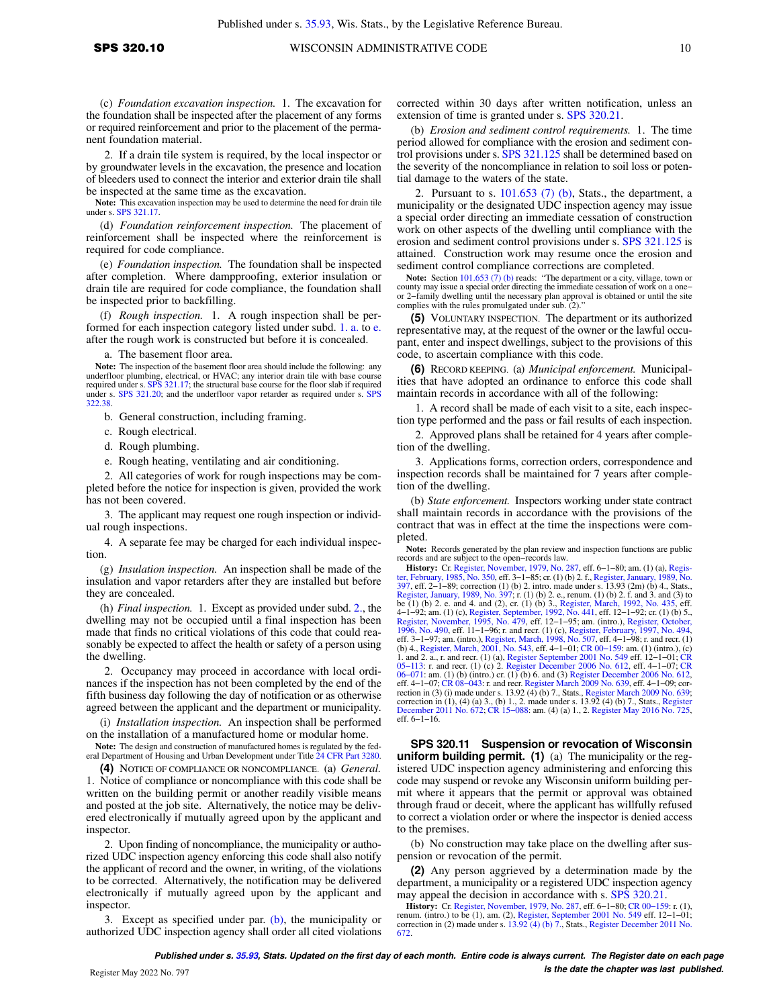(c) *Foundation excavation inspection.* 1. The excavation for the foundation shall be inspected after the placement of any forms or required reinforcement and prior to the placement of the permanent foundation material.

2. If a drain tile system is required, by the local inspector or by groundwater levels in the excavation, the presence and location of bleeders used to connect the interior and exterior drain tile shall be inspected at the same time as the excavation.

**Note:** This excavation inspection may be used to determine the need for drain tile under s. [SPS 321.17](https://docs-preview.legis.wisconsin.gov/document/administrativecode/SPS%20321.17).

(d) *Foundation reinforcement inspection.* The placement of reinforcement shall be inspected where the reinforcement is required for code compliance.

(e) *Foundation inspection.* The foundation shall be inspected after completion. Where dampproofing, exterior insulation or drain tile are required for code compliance, the foundation shall be inspected prior to backfilling.

(f) *Rough inspection.* 1. A rough inspection shall be performed for each inspection category listed under subd. [1. a.](https://docs-preview.legis.wisconsin.gov/document/administrativecode/SPS%20320.10(3)(f)1.a.) to [e.](https://docs-preview.legis.wisconsin.gov/document/administrativecode/SPS%20320.10(3)(f)1.e.) after the rough work is constructed but before it is concealed.

a. The basement floor area.

**Note:** The inspection of the basement floor area should include the following: any underfloor plumbing, electrical, or HVAC; any interior drain tile with base course required under s. [SPS 321.17](https://docs-preview.legis.wisconsin.gov/document/administrativecode/SPS%20321.17); the structural base cours under s. [SPS 321.20](https://docs-preview.legis.wisconsin.gov/document/administrativecode/SPS%20321.20); and the underfloor vapor retarder as required under s. [SPS](https://docs-preview.legis.wisconsin.gov/document/administrativecode/SPS%20322.38) [322.38](https://docs-preview.legis.wisconsin.gov/document/administrativecode/SPS%20322.38).

b. General construction, including framing.

c. Rough electrical.

d. Rough plumbing.

e. Rough heating, ventilating and air conditioning.

2. All categories of work for rough inspections may be completed before the notice for inspection is given, provided the work has not been covered.

3. The applicant may request one rough inspection or individual rough inspections.

4. A separate fee may be charged for each individual inspection.

(g) *Insulation inspection.* An inspection shall be made of the insulation and vapor retarders after they are installed but before they are concealed.

(h) *Final inspection.* 1. Except as provided under subd. [2.](https://docs-preview.legis.wisconsin.gov/document/administrativecode/SPS%20320.10(3)(h)2.), the dwelling may not be occupied until a final inspection has been made that finds no critical violations of this code that could reasonably be expected to affect the health or safety of a person using the dwelling.

2. Occupancy may proceed in accordance with local ordinances if the inspection has not been completed by the end of the fifth business day following the day of notification or as otherwise agreed between the applicant and the department or municipality.

(i) *Installation inspection.* An inspection shall be performed on the installation of a manufactured home or modular home.

**Note:** The design and construction of manufactured homes is regulated by the federal Department of Housing and Urban Development under Title [24 CFR Part 3280](https://docs-preview.legis.wisconsin.gov/document/cfr/24%20CFR%203280).

**(4)** NOTICE OF COMPLIANCE OR NONCOMPLIANCE. (a) *General.* 1. Notice of compliance or noncompliance with this code shall be written on the building permit or another readily visible means and posted at the job site. Alternatively, the notice may be delivered electronically if mutually agreed upon by the applicant and inspector.

2. Upon finding of noncompliance, the municipality or authorized UDC inspection agency enforcing this code shall also notify the applicant of record and the owner, in writing, of the violations to be corrected. Alternatively, the notification may be delivered electronically if mutually agreed upon by the applicant and inspector.

3. Except as specified under par. [\(b\),](https://docs-preview.legis.wisconsin.gov/document/administrativecode/SPS%20320.10(4)(b)) the municipality or authorized UDC inspection agency shall order all cited violations

corrected within 30 days after written notification, unless an extension of time is granted under s. [SPS 320.21](https://docs-preview.legis.wisconsin.gov/document/administrativecode/SPS%20320.21).

(b) *Erosion and sediment control requirements.* 1. The time period allowed for compliance with the erosion and sediment control provisions under s. [SPS 321.125](https://docs-preview.legis.wisconsin.gov/document/administrativecode/SPS%20321.125) shall be determined based on the severity of the noncompliance in relation to soil loss or potential damage to the waters of the state.

2. Pursuant to s.  $101.653$  (7) (b), Stats., the department, a municipality or the designated UDC inspection agency may issue a special order directing an immediate cessation of construction work on other aspects of the dwelling until compliance with the erosion and sediment control provisions under s. [SPS 321.125](https://docs-preview.legis.wisconsin.gov/document/administrativecode/SPS%20321.125) is attained. Construction work may resume once the erosion and sediment control compliance corrections are completed.

**Note:** Section [101.653 \(7\) \(b\)](https://docs-preview.legis.wisconsin.gov/document/statutes/101.653(7)(b)) reads: "The department or a city, village, town or county may issue a special order directing the immediate cessation of work on a one− or 2−family dwelling until the necessary plan approval is obtained or until the site complies with the rules promulgated under sub. (2)."

**(5)** VOLUNTARY INSPECTION. The department or its authorized representative may, at the request of the owner or the lawful occupant, enter and inspect dwellings, subject to the provisions of this code, to ascertain compliance with this code.

**(6)** RECORD KEEPING. (a) *Municipal enforcement.* Municipalities that have adopted an ordinance to enforce this code shall maintain records in accordance with all of the following:

1. A record shall be made of each visit to a site, each inspection type performed and the pass or fail results of each inspection.

2. Approved plans shall be retained for 4 years after completion of the dwelling.

3. Applications forms, correction orders, correspondence and inspection records shall be maintained for 7 years after completion of the dwelling.

(b) *State enforcement.* Inspectors working under state contract shall maintain records in accordance with the provisions of the contract that was in effect at the time the inspections were completed.

**Note:** Records generated by the plan review and inspection functions are public records and are subject to the open−records law. **History:** Cr. [Register, November, 1979, No. 287](https://docs-preview.legis.wisconsin.gov/document/register/287/B/toc), eff. 6−1−80; am. (1) (a), [Regis-](https://docs-preview.legis.wisconsin.gov/document/register/350/B/toc)

[ter, February, 1985, No. 350,](https://docs-preview.legis.wisconsin.gov/document/register/350/B/toc) eff. 3–1–85; cr. (1) (b) 2. f., Register, January, [397,](https://docs-preview.legis.wisconsin.gov/document/register/397/B/toc) eff. 2–1–89; correction (1) (b) 2. intro. made under s. 13.93 (2m) (b) 4., Stats., anuary, 1989, No. 397; r. (1) (b) 2. e. renum. (1) (b) 2. e. and 4) to be (1) (b) 2. e. and 4. and (2) to c. (1) (b) 3. and (2), or. ( 4–1–92; am. (1) (c), [Register, September, 1992, No. 441,](https://docs-preview.legis.wisconsin.gov/document/register/441/B/toc) eff. 12–1–92; cr. (1) (b) 5.,<br>[Register, November, 1995, No. 479](https://docs-preview.legis.wisconsin.gov/document/register/479/B/toc), eff. 12–1–95; am. (intro.), [Register, October,](https://docs-preview.legis.wisconsin.gov/document/register/490/B/toc)<br>[1996, No. 490](https://docs-preview.legis.wisconsin.gov/document/register/490/B/toc), eff. 11–1–96; r. and recr. (1) (c), Re eff. 3−1−97; am. (intro.), [Register, March, 1998, No. 507](https://docs-preview.legis.wisconsin.gov/document/register/507/B/toc), eff. 4−1−98; r. and recr. (1) (b) 4., [Register, March, 2001, No. 543,](https://docs-preview.legis.wisconsin.gov/document/register/543/B/toc) eff. 4−1−01; [CR 00−159:](https://docs-preview.legis.wisconsin.gov/document/cr/2000/159) am. (1) (intro.), (c) 1. and 2. a., r. and recr. (1) (a), [Register September 2001 No. 549](https://docs-preview.legis.wisconsin.gov/document/register/549/B/toc) eff. 12−1−01; [CR](https://docs-preview.legis.wisconsin.gov/document/cr/2005/113) [05−113:](https://docs-preview.legis.wisconsin.gov/document/cr/2005/113) r. and recr. (1) (c) 2. [Register December 2006 No. 612](https://docs-preview.legis.wisconsin.gov/document/register/612/B/toc), eff. 4−1−07; [CR](https://docs-preview.legis.wisconsin.gov/document/cr/2006/71) [06−071](https://docs-preview.legis.wisconsin.gov/document/cr/2006/71): am. (1) (b) (intro.) cr. (1) (b) 6. and (3) [Register December 2006 No. 612](https://docs-preview.legis.wisconsin.gov/document/register/612/B/toc), eff. 4−1−07; [CR 08−043](https://docs-preview.legis.wisconsin.gov/document/cr/2008/43): r. and recr. [Register March 2009 No. 639,](https://docs-preview.legis.wisconsin.gov/document/register/639/B/toc) eff. 4−1−09; cor-rection in (3) (i) made under s. 13.92 (4) (b) 7., Stats., [Register March 2009 No. 639](https://docs-preview.legis.wisconsin.gov/document/register/639/B/toc); correction in  $(1)$ ,  $(4)$   $(a)$   $3$ ,  $(b)$   $1$ ,  $2$ . made under s. 13.92  $(4)$   $(b)$  7., Stats., [Register](https://docs-preview.legis.wisconsin.gov/document/register/672/B/toc) [December 2011 No. 672](https://docs-preview.legis.wisconsin.gov/document/register/672/B/toc); [CR 15−088:](https://docs-preview.legis.wisconsin.gov/document/cr/2015/88) am. (4) (a) 1., 2. [Register May 2016 No. 725](https://docs-preview.legis.wisconsin.gov/document/register/725/B/toc), eff. 6−1−16.

**SPS 320.11 Suspension or revocation of Wisconsin uniform building permit. (1)** (a) The municipality or the registered UDC inspection agency administering and enforcing this code may suspend or revoke any Wisconsin uniform building permit where it appears that the permit or approval was obtained through fraud or deceit, where the applicant has willfully refused to correct a violation order or where the inspector is denied access to the premises.

(b) No construction may take place on the dwelling after suspension or revocation of the permit.

**(2)** Any person aggrieved by a determination made by the department, a municipality or a registered UDC inspection agency may appeal the decision in accordance with s. [SPS 320.21](https://docs-preview.legis.wisconsin.gov/document/administrativecode/SPS%20320.21).

**History:** Cr. [Register, November, 1979, No. 287](https://docs-preview.legis.wisconsin.gov/document/register/287/B/toc), eff. 6−1−80; [CR 00−159:](https://docs-preview.legis.wisconsin.gov/document/cr/2000/159) r. (1), renum. (intro.) to be (1), am. (2), [Register, September 2001 No. 549](https://docs-preview.legis.wisconsin.gov/document/register/549/B/toc) eff. 12−1−01; correction in (2) made under s. [13.92 \(4\) \(b\) 7.](https://docs-preview.legis.wisconsin.gov/document/statutes/13.92(4)(b)7.), Stats., [Register December 2011 No.](https://docs-preview.legis.wisconsin.gov/document/register/672/B/toc) [672.](https://docs-preview.legis.wisconsin.gov/document/register/672/B/toc)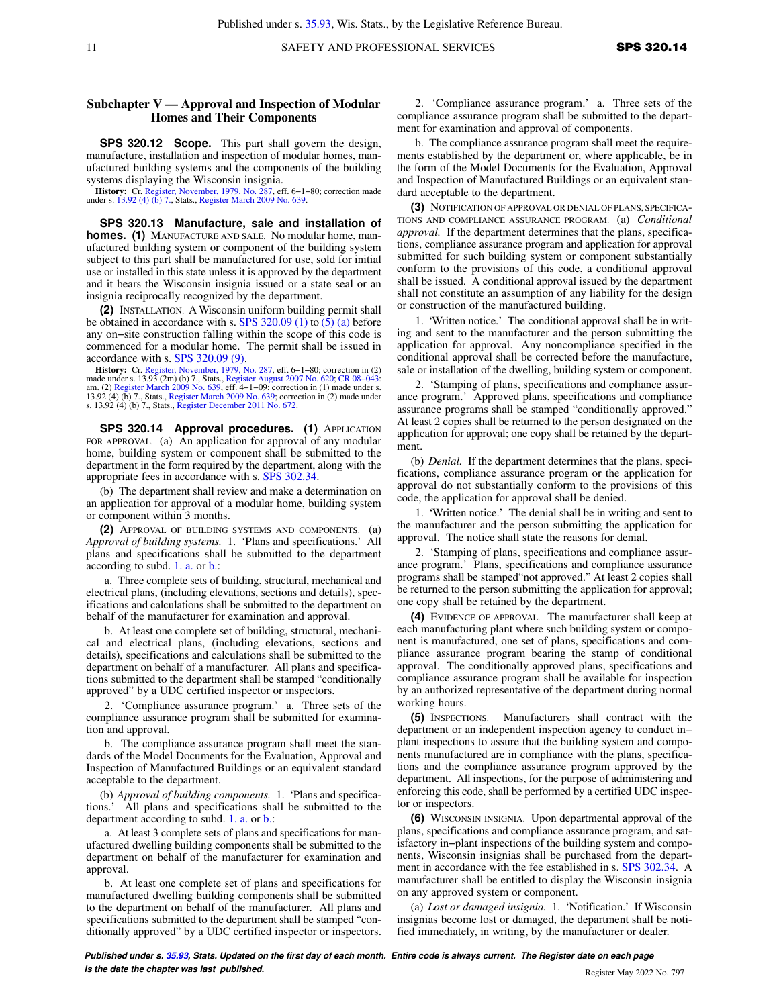Published under s. [35.93](https://docs-preview.legis.wisconsin.gov/document/statutes/35.93), Wis. Stats., by the Legislative Reference Bureau.

## **Subchapter V — Approval and Inspection of Modular Homes and Their Components**

**SPS 320.12 Scope.** This part shall govern the design, manufacture, installation and inspection of modular homes, manufactured building systems and the components of the building systems displaying the Wisconsin insignia.

**History:** Cr. [Register, November, 1979, No. 287](https://docs-preview.legis.wisconsin.gov/document/register/287/B/toc), eff. 6−1−80; correction made under s. [13.92 \(4\) \(b\) 7.](https://docs-preview.legis.wisconsin.gov/document/statutes/13.92(4)(b)7.), Stats., [Register March 2009 No. 639](https://docs-preview.legis.wisconsin.gov/document/register/639/B/toc).

**SPS 320.13 Manufacture, sale and installation of homes. (1)** MANUFACTURE AND SALE. No modular home, manufactured building system or component of the building system subject to this part shall be manufactured for use, sold for initial use or installed in this state unless it is approved by the department and it bears the Wisconsin insignia issued or a state seal or an insignia reciprocally recognized by the department.

**(2)** INSTALLATION. A Wisconsin uniform building permit shall be obtained in accordance with s. [SPS 320.09 \(1\)](https://docs-preview.legis.wisconsin.gov/document/administrativecode/SPS%20320.09(1)) to [\(5\) \(a\)](https://docs-preview.legis.wisconsin.gov/document/administrativecode/SPS%20320.09(5)(a)) before any on−site construction falling within the scope of this code is commenced for a modular home. The permit shall be issued in accordance with s. [SPS 320.09 \(9\)](https://docs-preview.legis.wisconsin.gov/document/administrativecode/SPS%20320.09(9)).

**History:** Cr. [Register, November, 1979, No. 287](https://docs-preview.legis.wisconsin.gov/document/register/287/B/toc), eff. 6–1–80; correction in (2) made under s. 13.93 (2m) (b) 7., Stats., [Register August 2007 No. 620;](https://docs-preview.legis.wisconsin.gov/document/register/620/B/toc) CR 08–043: am. (2) [Register March 2009 No. 639,](https://docs-preview.legis.wisconsin.gov/document/register/639/B/toc) eff. 4–1–09; correcti

**SPS 320.14 Approval procedures. (1)** APPLICATION FOR APPROVAL. (a) An application for approval of any modular home, building system or component shall be submitted to the department in the form required by the department, along with the appropriate fees in accordance with s. [SPS 302.34.](https://docs-preview.legis.wisconsin.gov/document/administrativecode/SPS%20302.34)

(b) The department shall review and make a determination on an application for approval of a modular home, building system or component within 3 months.

**(2)** APPROVAL OF BUILDING SYSTEMS AND COMPONENTS. (a) *Approval of building systems.* 1. 'Plans and specifications.' All plans and specifications shall be submitted to the department according to subd. [1. a.](https://docs-preview.legis.wisconsin.gov/document/administrativecode/SPS%20320.14(2)(a)1.a.) or [b.:](https://docs-preview.legis.wisconsin.gov/document/administrativecode/SPS%20320.14(2)(a)1.b.)

a. Three complete sets of building, structural, mechanical and electrical plans, (including elevations, sections and details), specifications and calculations shall be submitted to the department on behalf of the manufacturer for examination and approval.

b. At least one complete set of building, structural, mechanical and electrical plans, (including elevations, sections and details), specifications and calculations shall be submitted to the department on behalf of a manufacturer. All plans and specifications submitted to the department shall be stamped "conditionally approved" by a UDC certified inspector or inspectors.

2. 'Compliance assurance program.' a. Three sets of the compliance assurance program shall be submitted for examination and approval.

b. The compliance assurance program shall meet the standards of the Model Documents for the Evaluation, Approval and Inspection of Manufactured Buildings or an equivalent standard acceptable to the department.

(b) *Approval of building components.* 1. 'Plans and specifications.' All plans and specifications shall be submitted to the department according to subd. [1. a.](https://docs-preview.legis.wisconsin.gov/document/administrativecode/SPS%20320.14(2)(b)1.a.) or [b.:](https://docs-preview.legis.wisconsin.gov/document/administrativecode/SPS%20320.14(2)(b)1.b.)

a. At least 3 complete sets of plans and specifications for manufactured dwelling building components shall be submitted to the department on behalf of the manufacturer for examination and approval.

b. At least one complete set of plans and specifications for manufactured dwelling building components shall be submitted to the department on behalf of the manufacturer. All plans and specifications submitted to the department shall be stamped "conditionally approved" by a UDC certified inspector or inspectors.

2. 'Compliance assurance program.' a. Three sets of the compliance assurance program shall be submitted to the department for examination and approval of components.

b. The compliance assurance program shall meet the requirements established by the department or, where applicable, be in the form of the Model Documents for the Evaluation, Approval and Inspection of Manufactured Buildings or an equivalent standard acceptable to the department.

**(3)** NOTIFICATION OF APPROVAL OR DENIAL OF PLANS, SPECIFICA-TIONS AND COMPLIANCE ASSURANCE PROGRAM. (a) *Conditional approval.* If the department determines that the plans, specifications, compliance assurance program and application for approval submitted for such building system or component substantially conform to the provisions of this code, a conditional approval shall be issued. A conditional approval issued by the department shall not constitute an assumption of any liability for the design or construction of the manufactured building.

1. 'Written notice.' The conditional approval shall be in writing and sent to the manufacturer and the person submitting the application for approval. Any noncompliance specified in the conditional approval shall be corrected before the manufacture, sale or installation of the dwelling, building system or component.

2. 'Stamping of plans, specifications and compliance assurance program.' Approved plans, specifications and compliance assurance programs shall be stamped "conditionally approved." At least 2 copies shall be returned to the person designated on the application for approval; one copy shall be retained by the department.

(b) *Denial.* If the department determines that the plans, specifications, compliance assurance program or the application for approval do not substantially conform to the provisions of this code, the application for approval shall be denied.

1. 'Written notice.' The denial shall be in writing and sent to the manufacturer and the person submitting the application for approval. The notice shall state the reasons for denial.

2. 'Stamping of plans, specifications and compliance assurance program.' Plans, specifications and compliance assurance programs shall be stamped"not approved." At least 2 copies shall be returned to the person submitting the application for approval; one copy shall be retained by the department.

**(4)** EVIDENCE OF APPROVAL. The manufacturer shall keep at each manufacturing plant where such building system or component is manufactured, one set of plans, specifications and compliance assurance program bearing the stamp of conditional approval. The conditionally approved plans, specifications and compliance assurance program shall be available for inspection by an authorized representative of the department during normal working hours.

**(5)** INSPECTIONS. Manufacturers shall contract with the department or an independent inspection agency to conduct in− plant inspections to assure that the building system and components manufactured are in compliance with the plans, specifications and the compliance assurance program approved by the department. All inspections, for the purpose of administering and enforcing this code, shall be performed by a certified UDC inspector or inspectors.

**(6)** WISCONSIN INSIGNIA. Upon departmental approval of the plans, specifications and compliance assurance program, and satisfactory in−plant inspections of the building system and components, Wisconsin insignias shall be purchased from the department in accordance with the fee established in s. [SPS 302.34](https://docs-preview.legis.wisconsin.gov/document/administrativecode/SPS%20302.34). A manufacturer shall be entitled to display the Wisconsin insignia on any approved system or component.

(a) *Lost or damaged insignia.* 1. 'Notification.' If Wisconsin insignias become lost or damaged, the department shall be notified immediately, in writing, by the manufacturer or dealer.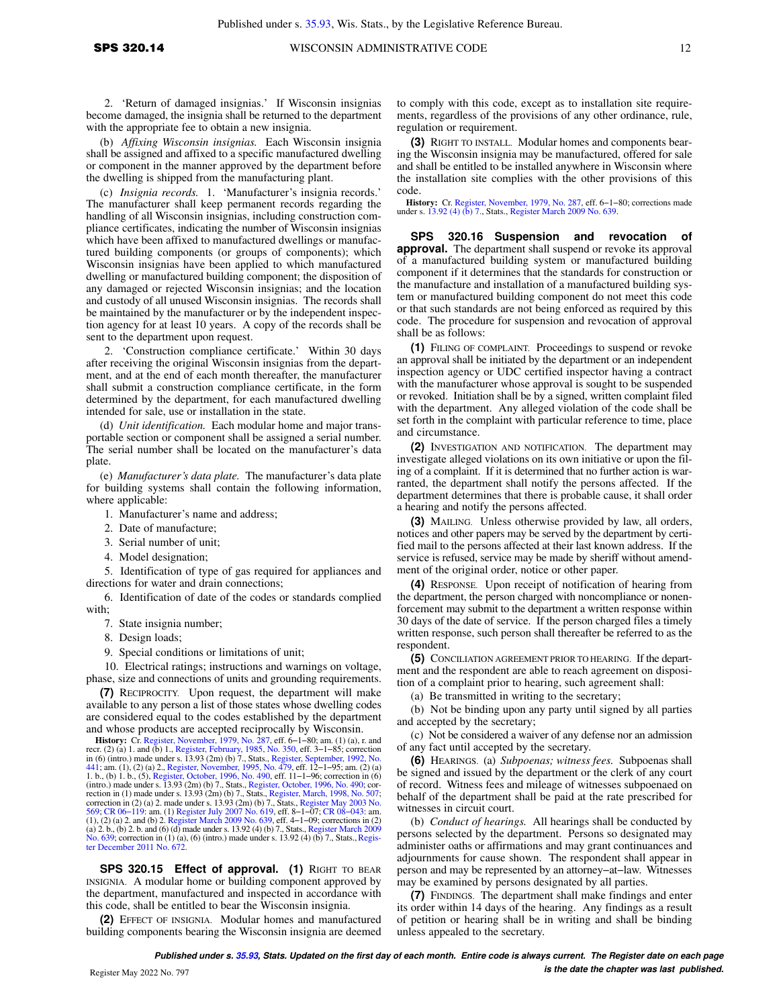2. 'Return of damaged insignias.' If Wisconsin insignias become damaged, the insignia shall be returned to the department with the appropriate fee to obtain a new insignia.

(b) *Affixing Wisconsin insignias.* Each Wisconsin insignia shall be assigned and affixed to a specific manufactured dwelling or component in the manner approved by the department before the dwelling is shipped from the manufacturing plant.

(c) *Insignia records.* 1. 'Manufacturer's insignia records.' The manufacturer shall keep permanent records regarding the handling of all Wisconsin insignias, including construction compliance certificates, indicating the number of Wisconsin insignias which have been affixed to manufactured dwellings or manufactured building components (or groups of components); which Wisconsin insignias have been applied to which manufactured dwelling or manufactured building component; the disposition of any damaged or rejected Wisconsin insignias; and the location and custody of all unused Wisconsin insignias. The records shall be maintained by the manufacturer or by the independent inspection agency for at least 10 years. A copy of the records shall be sent to the department upon request.

2. 'Construction compliance certificate.' Within 30 days after receiving the original Wisconsin insignias from the department, and at the end of each month thereafter, the manufacturer shall submit a construction compliance certificate, in the form determined by the department, for each manufactured dwelling intended for sale, use or installation in the state.

(d) *Unit identification.* Each modular home and major transportable section or component shall be assigned a serial number. The serial number shall be located on the manufacturer's data plate.

(e) *Manufacturer's data plate.* The manufacturer's data plate for building systems shall contain the following information, where applicable:

1. Manufacturer's name and address;

- 2. Date of manufacture;
- 3. Serial number of unit;
- 4. Model designation;

5. Identification of type of gas required for appliances and directions for water and drain connections;

6. Identification of date of the codes or standards complied with:

7. State insignia number;

8. Design loads;

9. Special conditions or limitations of unit;

10. Electrical ratings; instructions and warnings on voltage, phase, size and connections of units and grounding requirements.

**(7)** RECIPROCITY. Upon request, the department will make available to any person a list of those states whose dwelling codes are considered equal to the codes established by the department and whose products are accepted reciprocally by Wisconsin.

**History:** Cr. [Register, November, 1979, No. 287](https://docs-preview.legis.wisconsin.gov/document/register/287/B/toc), eff. 6–1–80; am. (1) (a), r. and<br>recr. (2) (a) 1. and (b) 1., [Register, February, 1985, No. 350](https://docs-preview.legis.wisconsin.gov/document/register/350/B/toc), eff. 3–1–85; correction<br>in (6) (intro.) made under s. 13.93 (2m) (b) 7., St [441](https://docs-preview.legis.wisconsin.gov/document/register/441/B/toc); am. (1), (2) (a) 2., [Register, November, 1995, No. 479](https://docs-preview.legis.wisconsin.gov/document/register/479/B/toc), eff. 12–1–95; am. (2) (a)<br>1. b., (b) 1. b., (5), [Register, October, 1996, No. 490](https://docs-preview.legis.wisconsin.gov/document/register/490/B/toc), eff. 11–1–96; correction in (6)<br>(intro.) made under s. 13.93 (2m) (b) 7., Stat rection in (1) made under s. 13.93 (2m) (b) 7., Stats., [Register, March, 1998, No. 507;](https://docs-preview.legis.wisconsin.gov/document/register/507/B/toc)<br>correction in (2) (a) 2. made under s. 13.93 (2m) (b) 7., Stats., [Register May 2003 No.](https://docs-preview.legis.wisconsin.gov/document/register/569/B/toc)<br>[569](https://docs-preview.legis.wisconsin.gov/document/register/569/B/toc); CR 06–119: am. (1) Register July 2007 No. (a) 2. b., (b) 2. b. and (6) (d) made under s. 13.92 (4) (b) 7., Stats., [Register March 2009](https://docs-preview.legis.wisconsin.gov/document/register/639/B/toc) [No. 639;](https://docs-preview.legis.wisconsin.gov/document/register/639/B/toc) correction in (1) (a), (6) (intro.) made under s. 13.92 (4) (b) 7., Stats., Regis[ter December 2011 No. 672.](https://docs-preview.legis.wisconsin.gov/document/register/672/B/toc)

**SPS 320.15 Effect of approval. (1)** RIGHT TO BEAR INSIGNIA. A modular home or building component approved by the department, manufactured and inspected in accordance with this code, shall be entitled to bear the Wisconsin insignia.

**(2)** EFFECT OF INSIGNIA. Modular homes and manufactured building components bearing the Wisconsin insignia are deemed to comply with this code, except as to installation site requirements, regardless of the provisions of any other ordinance, rule, regulation or requirement.

**(3)** RIGHT TO INSTALL. Modular homes and components bearing the Wisconsin insignia may be manufactured, offered for sale and shall be entitled to be installed anywhere in Wisconsin where the installation site complies with the other provisions of this code.

**History:** Cr. [Register, November, 1979, No. 287,](https://docs-preview.legis.wisconsin.gov/document/register/287/B/toc) eff. 6–1–80; corrections made under s. [13.92 \(4\) \(b\) 7.,](https://docs-preview.legis.wisconsin.gov/document/statutes/13.92(4)(b)7.) Stats., [Register March 2009 No. 639.](https://docs-preview.legis.wisconsin.gov/document/register/639/B/toc)

**SPS 320.16 Suspension and revocation of approval.** The department shall suspend or revoke its approval of a manufactured building system or manufactured building component if it determines that the standards for construction or the manufacture and installation of a manufactured building system or manufactured building component do not meet this code or that such standards are not being enforced as required by this code. The procedure for suspension and revocation of approval shall be as follows:

**(1)** FILING OF COMPLAINT. Proceedings to suspend or revoke an approval shall be initiated by the department or an independent inspection agency or UDC certified inspector having a contract with the manufacturer whose approval is sought to be suspended or revoked. Initiation shall be by a signed, written complaint filed with the department. Any alleged violation of the code shall be set forth in the complaint with particular reference to time, place and circumstance.

**(2)** INVESTIGATION AND NOTIFICATION. The department may investigate alleged violations on its own initiative or upon the filing of a complaint. If it is determined that no further action is warranted, the department shall notify the persons affected. If the department determines that there is probable cause, it shall order a hearing and notify the persons affected.

**(3)** MAILING. Unless otherwise provided by law, all orders, notices and other papers may be served by the department by certified mail to the persons affected at their last known address. If the service is refused, service may be made by sheriff without amendment of the original order, notice or other paper.

**(4)** RESPONSE. Upon receipt of notification of hearing from the department, the person charged with noncompliance or nonenforcement may submit to the department a written response within 30 days of the date of service. If the person charged files a timely written response, such person shall thereafter be referred to as the respondent.

**(5)** CONCILIATION AGREEMENT PRIOR TO HEARING. If the department and the respondent are able to reach agreement on disposition of a complaint prior to hearing, such agreement shall:

(a) Be transmitted in writing to the secretary;

(b) Not be binding upon any party until signed by all parties and accepted by the secretary;

(c) Not be considered a waiver of any defense nor an admission of any fact until accepted by the secretary.

**(6)** HEARINGS. (a) *Subpoenas; witness fees.* Subpoenas shall be signed and issued by the department or the clerk of any court of record. Witness fees and mileage of witnesses subpoenaed on behalf of the department shall be paid at the rate prescribed for witnesses in circuit court.

(b) *Conduct of hearings.* All hearings shall be conducted by persons selected by the department. Persons so designated may administer oaths or affirmations and may grant continuances and adjournments for cause shown. The respondent shall appear in person and may be represented by an attorney−at−law. Witnesses may be examined by persons designated by all parties.

**(7)** FINDINGS. The department shall make findings and enter its order within 14 days of the hearing. Any findings as a result of petition or hearing shall be in writing and shall be binding unless appealed to the secretary.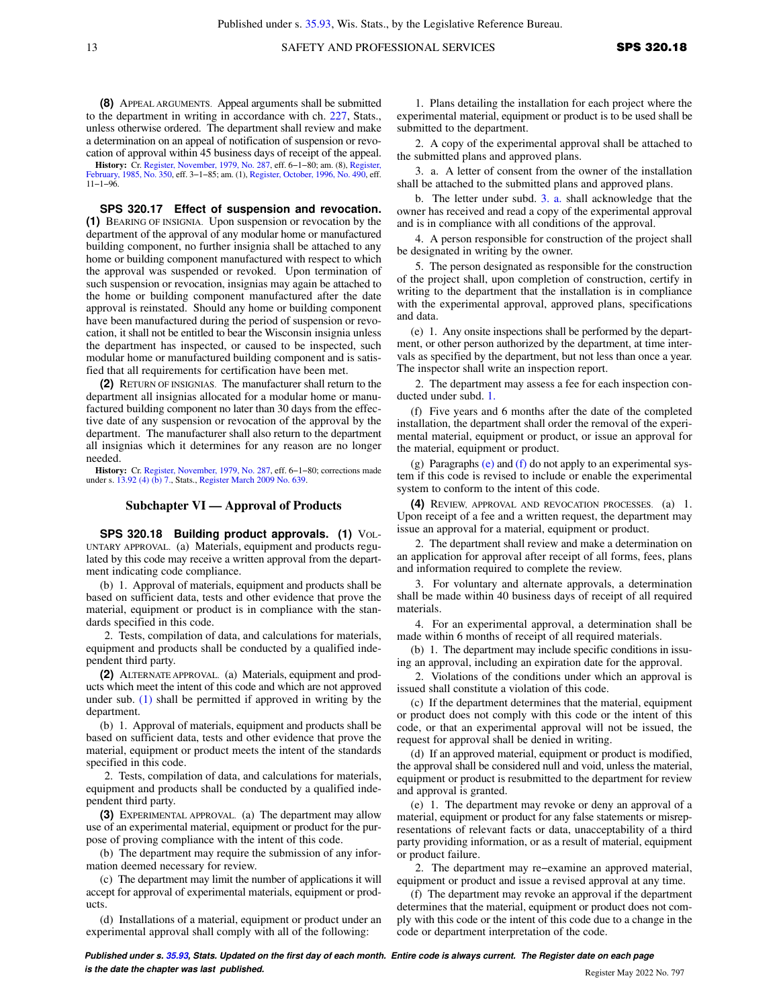**(8)** APPEAL ARGUMENTS. Appeal arguments shall be submitted to the department in writing in accordance with ch. [227,](https://docs-preview.legis.wisconsin.gov/document/statutes/ch.%20227) Stats., unless otherwise ordered. The department shall review and make a determination on an appeal of notification of suspension or revocation of approval within 45 business days of receipt of the appeal.

**History:** Cr. [Register, November, 1979, No. 287](https://docs-preview.legis.wisconsin.gov/document/register/287/B/toc), eff. 6−1−80; am. (8), [Register,](https://docs-preview.legis.wisconsin.gov/document/register/350/B/toc) [February, 1985, No. 350](https://docs-preview.legis.wisconsin.gov/document/register/350/B/toc), eff. 3−1−85; am. (1), [Register, October, 1996, No. 490](https://docs-preview.legis.wisconsin.gov/document/register/490/B/toc), eff. 11−1−96.

**SPS 320.17 Effect of suspension and revocation. (1)** BEARING OF INSIGNIA. Upon suspension or revocation by the department of the approval of any modular home or manufactured building component, no further insignia shall be attached to any home or building component manufactured with respect to which the approval was suspended or revoked. Upon termination of such suspension or revocation, insignias may again be attached to the home or building component manufactured after the date approval is reinstated. Should any home or building component have been manufactured during the period of suspension or revocation, it shall not be entitled to bear the Wisconsin insignia unless the department has inspected, or caused to be inspected, such modular home or manufactured building component and is satisfied that all requirements for certification have been met.

**(2)** RETURN OF INSIGNIAS. The manufacturer shall return to the department all insignias allocated for a modular home or manufactured building component no later than 30 days from the effective date of any suspension or revocation of the approval by the department. The manufacturer shall also return to the department all insignias which it determines for any reason are no longer needed.

**History:** Cr. [Register, November, 1979, No. 287,](https://docs-preview.legis.wisconsin.gov/document/register/287/B/toc) eff. 6−1−80; corrections made under s. [13.92 \(4\) \(b\) 7.](https://docs-preview.legis.wisconsin.gov/document/statutes/13.92(4)(b)7.), Stats., [Register March 2009 No. 639](https://docs-preview.legis.wisconsin.gov/document/register/639/B/toc).

#### **Subchapter VI — Approval of Products**

**SPS 320.18 Building product approvals. (1)** VOL-UNTARY APPROVAL. (a) Materials, equipment and products regulated by this code may receive a written approval from the department indicating code compliance.

(b) 1. Approval of materials, equipment and products shall be based on sufficient data, tests and other evidence that prove the material, equipment or product is in compliance with the standards specified in this code.

2. Tests, compilation of data, and calculations for materials, equipment and products shall be conducted by a qualified independent third party.

**(2)** ALTERNATE APPROVAL. (a) Materials, equipment and products which meet the intent of this code and which are not approved under sub. [\(1\)](https://docs-preview.legis.wisconsin.gov/document/administrativecode/SPS%20320.18(1)) shall be permitted if approved in writing by the department.

(b) 1. Approval of materials, equipment and products shall be based on sufficient data, tests and other evidence that prove the material, equipment or product meets the intent of the standards specified in this code.

2. Tests, compilation of data, and calculations for materials, equipment and products shall be conducted by a qualified independent third party.

**(3)** EXPERIMENTAL APPROVAL. (a) The department may allow use of an experimental material, equipment or product for the purpose of proving compliance with the intent of this code.

(b) The department may require the submission of any information deemed necessary for review.

(c) The department may limit the number of applications it will accept for approval of experimental materials, equipment or products.

(d) Installations of a material, equipment or product under an experimental approval shall comply with all of the following:

1. Plans detailing the installation for each project where the experimental material, equipment or product is to be used shall be submitted to the department.

2. A copy of the experimental approval shall be attached to the submitted plans and approved plans.

3. a. A letter of consent from the owner of the installation shall be attached to the submitted plans and approved plans.

b. The letter under subd. [3. a.](https://docs-preview.legis.wisconsin.gov/document/administrativecode/SPS%20320.18(3)(d)3.a.) shall acknowledge that the owner has received and read a copy of the experimental approval and is in compliance with all conditions of the approval.

4. A person responsible for construction of the project shall be designated in writing by the owner.

5. The person designated as responsible for the construction of the project shall, upon completion of construction, certify in writing to the department that the installation is in compliance with the experimental approval, approved plans, specifications and data.

(e) 1. Any onsite inspections shall be performed by the department, or other person authorized by the department, at time intervals as specified by the department, but not less than once a year. The inspector shall write an inspection report.

2. The department may assess a fee for each inspection conducted under subd. [1.](https://docs-preview.legis.wisconsin.gov/document/administrativecode/SPS%20320.18(3)(e)1.)

(f) Five years and 6 months after the date of the completed installation, the department shall order the removal of the experimental material, equipment or product, or issue an approval for the material, equipment or product.

(g) Paragraphs [\(e\)](https://docs-preview.legis.wisconsin.gov/document/administrativecode/SPS%20320.18(3)(e)) and [\(f\)](https://docs-preview.legis.wisconsin.gov/document/administrativecode/SPS%20320.18(3)(f)) do not apply to an experimental system if this code is revised to include or enable the experimental system to conform to the intent of this code.

**(4)** REVIEW, APPROVAL AND REVOCATION PROCESSES. (a) 1. Upon receipt of a fee and a written request, the department may issue an approval for a material, equipment or product.

2. The department shall review and make a determination on an application for approval after receipt of all forms, fees, plans and information required to complete the review.

3. For voluntary and alternate approvals, a determination shall be made within 40 business days of receipt of all required materials.

4. For an experimental approval, a determination shall be made within 6 months of receipt of all required materials.

(b) 1. The department may include specific conditions in issuing an approval, including an expiration date for the approval.

2. Violations of the conditions under which an approval is issued shall constitute a violation of this code.

(c) If the department determines that the material, equipment or product does not comply with this code or the intent of this code, or that an experimental approval will not be issued, the request for approval shall be denied in writing.

(d) If an approved material, equipment or product is modified, the approval shall be considered null and void, unless the material, equipment or product is resubmitted to the department for review and approval is granted.

(e) 1. The department may revoke or deny an approval of a material, equipment or product for any false statements or misrepresentations of relevant facts or data, unacceptability of a third party providing information, or as a result of material, equipment or product failure.

2. The department may re−examine an approved material, equipment or product and issue a revised approval at any time.

(f) The department may revoke an approval if the department determines that the material, equipment or product does not comply with this code or the intent of this code due to a change in the code or department interpretation of the code.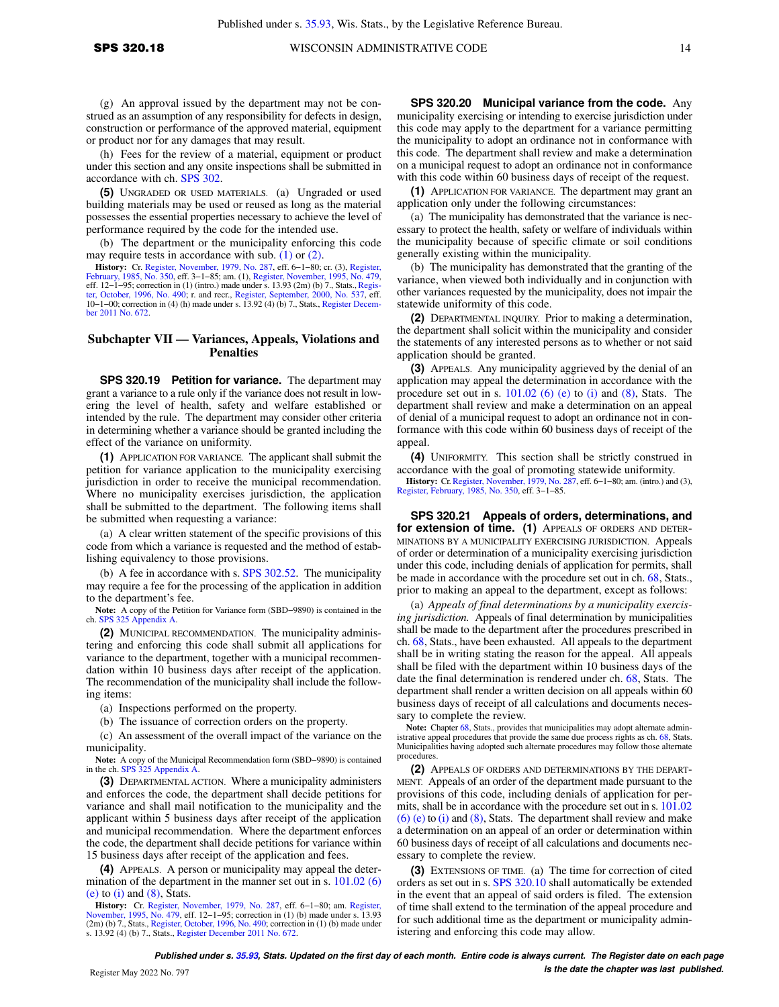(g) An approval issued by the department may not be construed as an assumption of any responsibility for defects in design, construction or performance of the approved material, equipment or product nor for any damages that may result.

(h) Fees for the review of a material, equipment or product under this section and any onsite inspections shall be submitted in accordance with ch. [SPS 302](https://docs-preview.legis.wisconsin.gov/document/administrativecode/ch.%20SPS%20302).

**(5)** UNGRADED OR USED MATERIALS. (a) Ungraded or used building materials may be used or reused as long as the material possesses the essential properties necessary to achieve the level of performance required by the code for the intended use.

(b) The department or the municipality enforcing this code may require tests in accordance with sub. [\(1\)](https://docs-preview.legis.wisconsin.gov/document/administrativecode/SPS%20320.18(1)) or [\(2\).](https://docs-preview.legis.wisconsin.gov/document/administrativecode/SPS%20320.18(2))

**History:** Cr. [Register, November, 1979, No. 287](https://docs-preview.legis.wisconsin.gov/document/register/287/B/toc), eff. 6–1–80; cr. (3), [Register,](https://docs-preview.legis.wisconsin.gov/document/register/350/B/toc) [February, 1985, No. 350](https://docs-preview.legis.wisconsin.gov/document/register/350/B/toc), eff. 3–1–85; am. (1), [Register, November, 1995, No. 479](https://docs-preview.legis.wisconsin.gov/document/register/479/B/toc), Fef. 12–1–95; correction in (1) (intro.) made under s. 13. 10−1−00; correction in (4) (h) made under s. 13.92 (4) (b) 7., Stats., [Register Decem](https://docs-preview.legis.wisconsin.gov/document/register/672/B/toc)[ber 2011 No. 672.](https://docs-preview.legis.wisconsin.gov/document/register/672/B/toc)

#### **Subchapter VII — Variances, Appeals, Violations and Penalties**

**SPS 320.19 Petition for variance.** The department may grant a variance to a rule only if the variance does not result in lowering the level of health, safety and welfare established or intended by the rule. The department may consider other criteria in determining whether a variance should be granted including the effect of the variance on uniformity.

**(1)** APPLICATION FOR VARIANCE. The applicant shall submit the petition for variance application to the municipality exercising jurisdiction in order to receive the municipal recommendation. Where no municipality exercises jurisdiction, the application shall be submitted to the department. The following items shall be submitted when requesting a variance:

(a) A clear written statement of the specific provisions of this code from which a variance is requested and the method of establishing equivalency to those provisions.

(b) A fee in accordance with s. [SPS 302.52.](https://docs-preview.legis.wisconsin.gov/document/administrativecode/SPS%20302.52) The municipality may require a fee for the processing of the application in addition to the department's fee.

**Note:** A copy of the Petition for Variance form (SBD−9890) is contained in the ch. [SPS 325 Appendix A.](https://docs-preview.legis.wisconsin.gov/document/administrativecode/ch.%20SPS%20325%20Appendix%20A)

**(2)** MUNICIPAL RECOMMENDATION. The municipality administering and enforcing this code shall submit all applications for variance to the department, together with a municipal recommendation within 10 business days after receipt of the application. The recommendation of the municipality shall include the following items:

(a) Inspections performed on the property.

(b) The issuance of correction orders on the property.

(c) An assessment of the overall impact of the variance on the municipality.

Note: A copy of the Municipal Recommendation form (SBD–9890) is contained in the ch. [SPS 325 Appendix A.](https://docs-preview.legis.wisconsin.gov/document/administrativecode/ch.%20SPS%20325%20Appendix%20A)

**(3)** DEPARTMENTAL ACTION. Where a municipality administers and enforces the code, the department shall decide petitions for variance and shall mail notification to the municipality and the applicant within 5 business days after receipt of the application and municipal recommendation. Where the department enforces the code, the department shall decide petitions for variance within 15 business days after receipt of the application and fees.

**(4)** APPEALS. A person or municipality may appeal the deter-mination of the department in the manner set out in s. [101.02 \(6\)](https://docs-preview.legis.wisconsin.gov/document/statutes/101.02(6)(e))  $(e)$  to  $(i)$  and  $(8)$ , Stats.

**History:** Cr. [Register, November, 1979, No. 287,](https://docs-preview.legis.wisconsin.gov/document/register/287/B/toc) eff. 6−1−80; am. [Register,](https://docs-preview.legis.wisconsin.gov/document/register/479/B/toc) [November, 1995, No. 479](https://docs-preview.legis.wisconsin.gov/document/register/479/B/toc), eff. 12−1−95; correction in (1) (b) made under s. 13.93 (2m) (b) 7., Stats., [Register, October, 1996, No. 490](https://docs-preview.legis.wisconsin.gov/document/register/490/B/toc); correction in (1) (b) made under s. 13.92 (4) (b) 7., Stats., [Register December 2011 No. 672.](https://docs-preview.legis.wisconsin.gov/document/register/672/B/toc)

**SPS 320.20 Municipal variance from the code.** Any municipality exercising or intending to exercise jurisdiction under this code may apply to the department for a variance permitting the municipality to adopt an ordinance not in conformance with this code. The department shall review and make a determination on a municipal request to adopt an ordinance not in conformance with this code within 60 business days of receipt of the request.

**(1)** APPLICATION FOR VARIANCE. The department may grant an application only under the following circumstances:

(a) The municipality has demonstrated that the variance is necessary to protect the health, safety or welfare of individuals within the municipality because of specific climate or soil conditions generally existing within the municipality.

(b) The municipality has demonstrated that the granting of the variance, when viewed both individually and in conjunction with other variances requested by the municipality, does not impair the statewide uniformity of this code.

**(2)** DEPARTMENTAL INQUIRY. Prior to making a determination, the department shall solicit within the municipality and consider the statements of any interested persons as to whether or not said application should be granted.

**(3)** APPEALS. Any municipality aggrieved by the denial of an application may appeal the determination in accordance with the procedure set out in s.  $101.02$  (6) (e) to [\(i\)](https://docs-preview.legis.wisconsin.gov/document/statutes/101.02(6)(i)) and [\(8\)](https://docs-preview.legis.wisconsin.gov/document/statutes/101.02(8)), Stats. The department shall review and make a determination on an appeal of denial of a municipal request to adopt an ordinance not in conformance with this code within 60 business days of receipt of the appeal.

**(4)** UNIFORMITY. This section shall be strictly construed in accordance with the goal of promoting statewide uniformity.

**History:** Cr. [Register, November, 1979, No. 287](https://docs-preview.legis.wisconsin.gov/document/register/287/B/toc), eff. 6−1−80; am. (intro.) and (3), [Register, February, 1985, No. 350](https://docs-preview.legis.wisconsin.gov/document/register/350/B/toc), eff. 3−1−85.

**SPS 320.21 Appeals of orders, determinations, and for extension of time. (1)** APPEALS OF ORDERS AND DETER-MINATIONS BY A MUNICIPALITY EXERCISING JURISDICTION. Appeals of order or determination of a municipality exercising jurisdiction under this code, including denials of application for permits, shall be made in accordance with the procedure set out in ch. [68](https://docs-preview.legis.wisconsin.gov/document/statutes/ch.%2068), Stats., prior to making an appeal to the department, except as follows:

(a) *Appeals of final determinations by a municipality exercising jurisdiction.* Appeals of final determination by municipalities shall be made to the department after the procedures prescribed in ch. [68,](https://docs-preview.legis.wisconsin.gov/document/statutes/ch.%2068) Stats., have been exhausted. All appeals to the department shall be in writing stating the reason for the appeal. All appeals shall be filed with the department within 10 business days of the date the final determination is rendered under ch. [68](https://docs-preview.legis.wisconsin.gov/document/statutes/ch.%2068), Stats. The department shall render a written decision on all appeals within 60 business days of receipt of all calculations and documents necessary to complete the review.

**Note:** Chapter [68,](https://docs-preview.legis.wisconsin.gov/document/statutes/ch.%2068) Stats., provides that municipalities may adopt alternate administrative appeal procedures that provide the same due process rights as ch. [68,](https://docs-preview.legis.wisconsin.gov/document/statutes/ch.%2068) Stats. Municipalities having adopted such alternate procedures may follow those alternate procedures.

**(2)** APPEALS OF ORDERS AND DETERMINATIONS BY THE DEPART-MENT. Appeals of an order of the department made pursuant to the provisions of this code, including denials of application for permits, shall be in accordance with the procedure set out in s. [101.02](https://docs-preview.legis.wisconsin.gov/document/statutes/101.02(6)(e)) [\(6\) \(e\)](https://docs-preview.legis.wisconsin.gov/document/statutes/101.02(6)(e)) to [\(i\)](https://docs-preview.legis.wisconsin.gov/document/statutes/101.02(6)(i)) and [\(8\)](https://docs-preview.legis.wisconsin.gov/document/statutes/101.02(8)), Stats. The department shall review and make a determination on an appeal of an order or determination within 60 business days of receipt of all calculations and documents necessary to complete the review.

**(3)** EXTENSIONS OF TIME. (a) The time for correction of cited orders as set out in s. [SPS 320.10](https://docs-preview.legis.wisconsin.gov/document/administrativecode/SPS%20320.10) shall automatically be extended in the event that an appeal of said orders is filed. The extension of time shall extend to the termination of the appeal procedure and for such additional time as the department or municipality administering and enforcing this code may allow.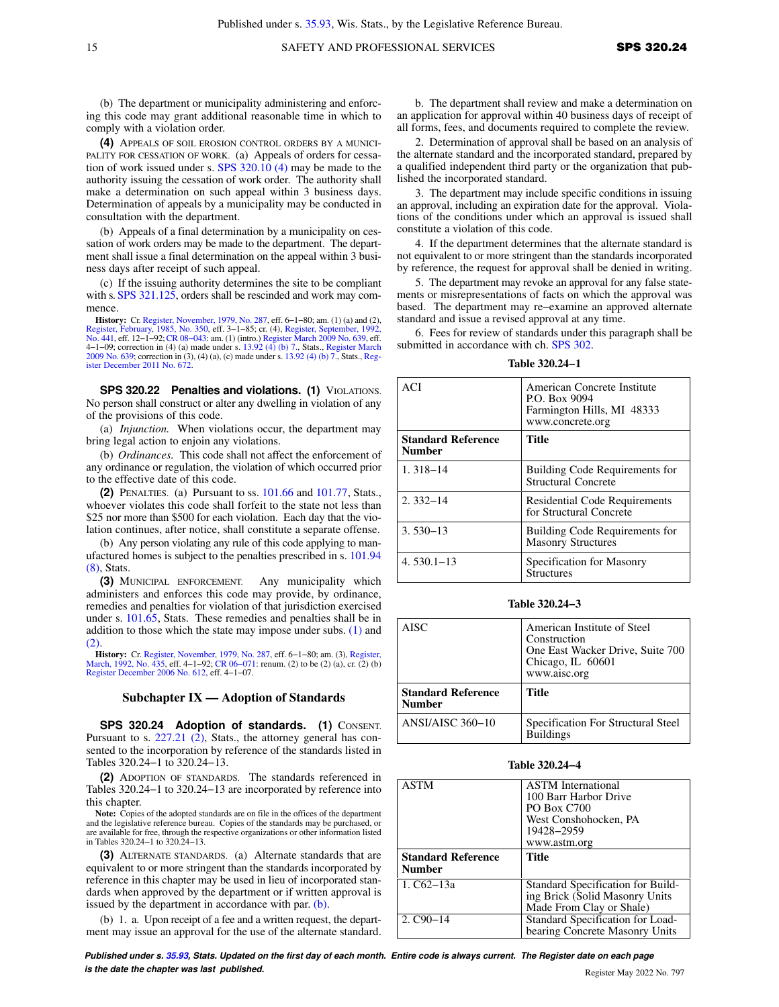(b) The department or municipality administering and enforcing this code may grant additional reasonable time in which to comply with a violation order.

**(4)** APPEALS OF SOIL EROSION CONTROL ORDERS BY A MUNICI-PALITY FOR CESSATION OF WORK. (a) Appeals of orders for cessation of work issued under s. [SPS 320.10 \(4\)](https://docs-preview.legis.wisconsin.gov/document/administrativecode/SPS%20320.10(4)) may be made to the authority issuing the cessation of work order. The authority shall make a determination on such appeal within 3 business days. Determination of appeals by a municipality may be conducted in consultation with the department.

(b) Appeals of a final determination by a municipality on cessation of work orders may be made to the department. The department shall issue a final determination on the appeal within 3 business days after receipt of such appeal.

(c) If the issuing authority determines the site to be compliant with s. [SPS 321.125](https://docs-preview.legis.wisconsin.gov/document/administrativecode/SPS%20321.125), orders shall be rescinded and work may commence.

**History:** Cr. [Register, November, 1979, No. 287](https://docs-preview.legis.wisconsin.gov/document/register/287/B/toc), eff. 6−1−80; am. (1) (a) and (2), [Register, February, 1985, No. 350,](https://docs-preview.legis.wisconsin.gov/document/register/350/B/toc) eff. 3−1−85; cr. (4), [Register, September, 1992,](https://docs-preview.legis.wisconsin.gov/document/register/441/B/toc) [No. 441,](https://docs-preview.legis.wisconsin.gov/document/register/441/B/toc) eff. 12–1–92; CR 08–043: am. (1) (intro.) [Register March 2009 No. 639,](https://docs-preview.legis.wisconsin.gov/document/register/639/B/toc) eff.<br>4–1–09; correction in (4) (a) made under s. [13.92 \(4\) \(b\) 7.](https://docs-preview.legis.wisconsin.gov/document/statutes/13.92(4)(b)7.), Stats., [Register March](https://docs-preview.legis.wisconsin.gov/document/register/639/B/toc) [2009 No. 639](https://docs-preview.legis.wisconsin.gov/document/register/639/B/toc); correction in (3), (4) (a), (c) made under s. [13.92 \(4\) \(b\) 7.](https://docs-preview.legis.wisconsin.gov/document/statutes/13.92(4)(b)7.), Stats., [Reg](https://docs-preview.legis.wisconsin.gov/document/register/672/B/toc)[ister December 2011 No. 672](https://docs-preview.legis.wisconsin.gov/document/register/672/B/toc).

**SPS 320.22 Penalties and violations. (1)** VIOLATIONS. No person shall construct or alter any dwelling in violation of any of the provisions of this code.

(a) *Injunction.* When violations occur, the department may bring legal action to enjoin any violations.

(b) *Ordinances.* This code shall not affect the enforcement of any ordinance or regulation, the violation of which occurred prior to the effective date of this code.

**(2)** PENALTIES. (a) Pursuant to ss. [101.66](https://docs-preview.legis.wisconsin.gov/document/statutes/101.66) and [101.77](https://docs-preview.legis.wisconsin.gov/document/statutes/101.77), Stats., whoever violates this code shall forfeit to the state not less than \$25 nor more than \$500 for each violation. Each day that the violation continues, after notice, shall constitute a separate offense.

(b) Any person violating any rule of this code applying to manufactured homes is subject to the penalties prescribed in s. [101.94](https://docs-preview.legis.wisconsin.gov/document/statutes/101.94(8)) [\(8\)](https://docs-preview.legis.wisconsin.gov/document/statutes/101.94(8)), Stats.

**(3)** MUNICIPAL ENFORCEMENT. Any municipality which administers and enforces this code may provide, by ordinance, remedies and penalties for violation of that jurisdiction exercised under s. [101.65,](https://docs-preview.legis.wisconsin.gov/document/statutes/101.65) Stats. These remedies and penalties shall be in addition to those which the state may impose under subs.  $(1)$  and  $(2)$ 

**History:** Cr. [Register, November, 1979, No. 287](https://docs-preview.legis.wisconsin.gov/document/register/287/B/toc), eff. 6–1–80; am. (3), [Register,](https://docs-preview.legis.wisconsin.gov/document/register/435/B/toc) [March, 1992, No. 435,](https://docs-preview.legis.wisconsin.gov/document/register/435/B/toc) eff. 4–1–92; CR 06–071: renum. (2) to be (2) (a), cr. (2) (b) [Register December 2006 No. 612,](https://docs-preview.legis.wisconsin.gov/document/register/612/B/toc) eff. 4−1−07.

### **Subchapter IX — Adoption of Standards**

SPS 320.24 Adoption of standards. (1) CONSENT. Pursuant to s. [227.21 \(2\),](https://docs-preview.legis.wisconsin.gov/document/statutes/227.21(2)) Stats., the attorney general has consented to the incorporation by reference of the standards listed in Tables 320.24−1 to 320.24−13.

**(2)** ADOPTION OF STANDARDS. The standards referenced in Tables 320.24−1 to 320.24−13 are incorporated by reference into this chapter.

**Note:** Copies of the adopted standards are on file in the offices of the department and the legislative reference bureau. Copies of the standards may be purchased, or are available for free, through the respective organizations or other information listed in Tables 320.24−1 to 320.24−13.

**(3)** ALTERNATE STANDARDS. (a) Alternate standards that are equivalent to or more stringent than the standards incorporated by reference in this chapter may be used in lieu of incorporated standards when approved by the department or if written approval is issued by the department in accordance with par. [\(b\)](https://docs-preview.legis.wisconsin.gov/document/administrativecode/SPS%20320.24(3)(b)).

(b) 1. a. Upon receipt of a fee and a written request, the department may issue an approval for the use of the alternate standard.

b. The department shall review and make a determination on an application for approval within 40 business days of receipt of all forms, fees, and documents required to complete the review.

2. Determination of approval shall be based on an analysis of the alternate standard and the incorporated standard, prepared by a qualified independent third party or the organization that published the incorporated standard.

3. The department may include specific conditions in issuing an approval, including an expiration date for the approval. Violations of the conditions under which an approval is issued shall constitute a violation of this code.

4. If the department determines that the alternate standard is not equivalent to or more stringent than the standards incorporated by reference, the request for approval shall be denied in writing.

5. The department may revoke an approval for any false statements or misrepresentations of facts on which the approval was based. The department may re−examine an approved alternate standard and issue a revised approval at any time.

6. Fees for review of standards under this paragraph shall be submitted in accordance with ch. [SPS 302.](https://docs-preview.legis.wisconsin.gov/document/administrativecode/ch.%20SPS%20302)

**Table 320.24−1**

| ACI                                        | American Concrete Institute<br>P.O. Box 9094<br>Farmington Hills, MI 48333<br>www.concrete.org |
|--------------------------------------------|------------------------------------------------------------------------------------------------|
| <b>Standard Reference</b><br><b>Number</b> | <b>Title</b>                                                                                   |
| $1.318 - 14$                               | Building Code Requirements for<br>Structural Concrete                                          |
| $2.332 - 14$                               | <b>Residential Code Requirements</b><br>for Structural Concrete                                |
| $3.530 - 13$                               | Building Code Requirements for<br><b>Masonry Structures</b>                                    |
| $4.530.1 - 13$                             | Specification for Masonry<br><b>Structures</b>                                                 |

**Table 320.24−3**

| <b>AISC</b>                                | American Institute of Steel<br>Construction<br>One East Wacker Drive, Suite 700<br>Chicago, IL 60601<br>www.aisc.org |
|--------------------------------------------|----------------------------------------------------------------------------------------------------------------------|
| <b>Standard Reference</b><br><b>Number</b> | Title                                                                                                                |
| ANSI/AISC $360-10$                         | Specification For Structural Steel<br><b>Buildings</b>                                                               |

|  | Table 320.24–4 |
|--|----------------|
|--|----------------|

| <b>ASTM</b>                                | <b>ASTM</b> International         |
|--------------------------------------------|-----------------------------------|
|                                            | 100 Barr Harbor Drive             |
|                                            | <b>PO Box C700</b>                |
|                                            | West Conshohocken, PA             |
|                                            | 19428-2959                        |
|                                            | www.astm.org                      |
| <b>Standard Reference</b><br><b>Number</b> | Title                             |
| 1. $C62-13a$                               | Standard Specification for Build- |
|                                            | ing Brick (Solid Masonry Units    |
|                                            | Made From Clay or Shale)          |
| $2. C90 - 14$                              | Standard Specification for Load-  |
|                                            | bearing Concrete Masonry Units    |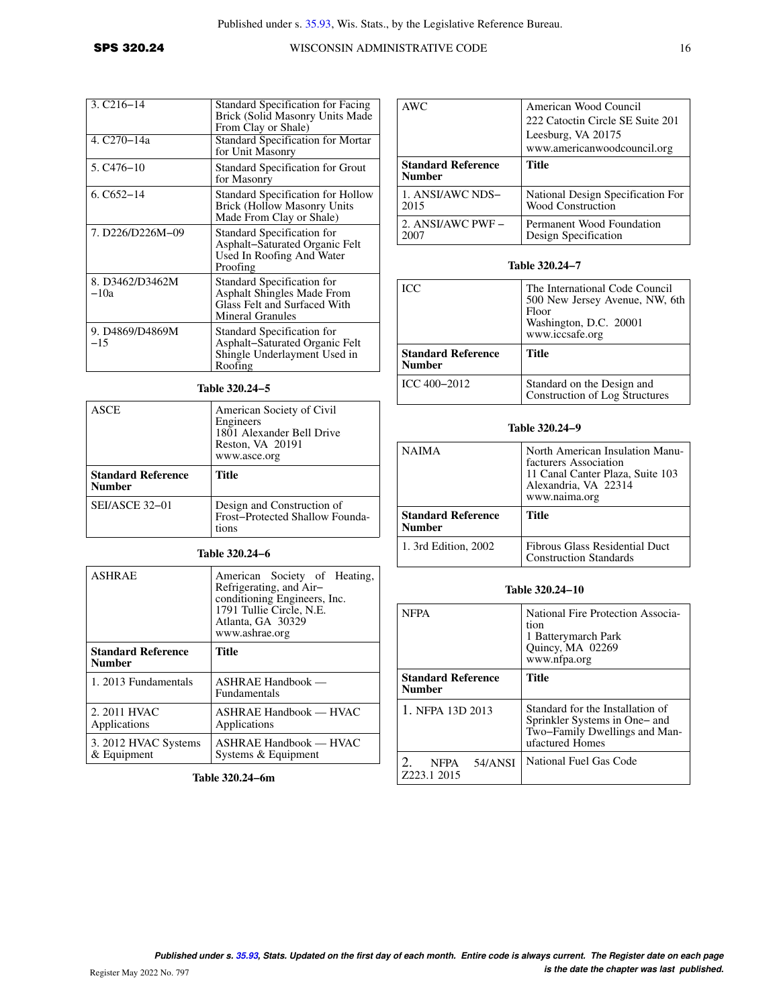| $3. C216 - 14$                       | <b>Standard Specification for Facing</b><br>Brick (Solid Masonry Units Made<br>From Clay or Shale)                         |
|--------------------------------------|----------------------------------------------------------------------------------------------------------------------------|
| 4. C <sub>270</sub> -14 <sub>a</sub> | <b>Standard Specification for Mortar</b><br>for Unit Masonry                                                               |
| $5. C476 - 10$                       | Standard Specification for Grout<br>for Masonry                                                                            |
| $6. C652 - 14$                       | <b>Standard Specification for Hollow</b><br><b>Brick (Hollow Masonry Units</b><br>Made From Clay or Shale)                 |
| 7. D226/D226M-09                     | Standard Specification for<br>Asphalt-Saturated Organic Felt<br>Used In Roofing And Water<br>Proofing                      |
| 8. D3462/D3462M<br>$-10a$            | <b>Standard Specification for</b><br><b>Asphalt Shingles Made From</b><br>Glass Felt and Surfaced With<br>Mineral Granules |
| 9. D4869/D4869M<br>$-15$             | Standard Specification for<br>Asphalt–Saturated Organic Felt<br>Shingle Underlayment Used in<br>Roofing                    |

# **Table 320.24−5**

| ASCE                                       | American Society of Civil<br>Engineers<br>1801 Alexander Bell Drive<br>Reston, VA 20191<br>www.asce.org |
|--------------------------------------------|---------------------------------------------------------------------------------------------------------|
| <b>Standard Reference</b><br><b>Number</b> | Title                                                                                                   |
| SEI/ASCE 32-01                             | Design and Construction of<br>Frost-Protected Shallow Founda-<br>tions                                  |

## **Table 320.24−6**

| <b>ASHRAE</b>                              | American Society of Heating,<br>Refrigerating, and Air-<br>conditioning Engineers, Inc.<br>1791 Tullie Circle, N.E.<br>Atlanta, GA 30329<br>www.ashrae.org |
|--------------------------------------------|------------------------------------------------------------------------------------------------------------------------------------------------------------|
| <b>Standard Reference</b><br><b>Number</b> | Title                                                                                                                                                      |
| 1. 2013 Fundamentals                       | $ASHRAE$ Handbook —<br><b>Fundamentals</b>                                                                                                                 |
| 2. 2011 HVAC<br>Applications               | ASHRAE Handbook — HVAC<br>Applications                                                                                                                     |
| 3. 2012 HVAC Systems<br>$&$ Equipment      | $ASHRAE$ Handbook — HVAC<br>Systems & Equipment                                                                                                            |

**Table 320.24−6m**

| AWC                                        | American Wood Council<br>222 Catoctin Circle SE Suite 201<br>Leesburg, VA 20175<br>www.americanwoodcouncil.org |
|--------------------------------------------|----------------------------------------------------------------------------------------------------------------|
| <b>Standard Reference</b><br><b>Number</b> | <b>Title</b>                                                                                                   |
| 1. ANSI/AWC NDS-                           | National Design Specification For                                                                              |
| 2015                                       | Wood Construction                                                                                              |
| 2. ANSI/AWC PWF -                          | Permanent Wood Foundation                                                                                      |
| 2007                                       | Design Specification                                                                                           |

# **Table 320.24−7**

| <b>ICC</b>                                 | The International Code Council<br>500 New Jersey Avenue, NW, 6th<br>Floor<br>Washington, D.C. 20001<br>www.iccsafe.org |
|--------------------------------------------|------------------------------------------------------------------------------------------------------------------------|
| <b>Standard Reference</b><br><b>Number</b> | Title                                                                                                                  |
| ICC 400-2012                               | Standard on the Design and<br>Construction of Log Structures                                                           |

# **Table 320.24−9**

| <b>NAIMA</b>                               | North American Insulation Manu-<br>facturers Association<br>11 Canal Canter Plaza, Suite 103<br>Alexandria, VA 22314<br>www.naima.org |
|--------------------------------------------|---------------------------------------------------------------------------------------------------------------------------------------|
| <b>Standard Reference</b><br><b>Number</b> | Title                                                                                                                                 |
| 1. 3rd Edition, 2002                       | Fibrous Glass Residential Duct<br><b>Construction Standards</b>                                                                       |

## **Table 320.24−10**

| <b>NFPA</b>                                | National Fire Protection Associa-<br>tion<br>1 Batterymarch Park<br>Quincy, MA 02269<br>www.nfpa.org                  |
|--------------------------------------------|-----------------------------------------------------------------------------------------------------------------------|
| <b>Standard Reference</b><br><b>Number</b> | Title                                                                                                                 |
| 1. NFPA 13D 2013                           | Standard for the Installation of<br>Sprinkler Systems in One- and<br>Two-Family Dwellings and Man-<br>ufactured Homes |
| 54/ANSI<br><b>NFPA</b><br>Z223.1 2015      | National Fuel Gas Code                                                                                                |